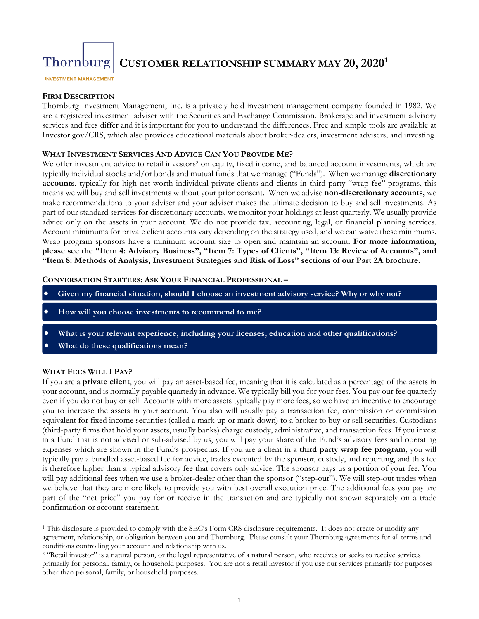

### **CUSTOMER RELATIONSHIP SUMMARY MAY 20, 20201**

**INVESTMENT MANAGEMENT** 

#### **FIRM DESCRIPTION**

Thornburg Investment Management, Inc. is a privately held investment management company founded in 1982. We are a registered investment adviser with the Securities and Exchange Commission. Brokerage and investment advisory services and fees differ and it is important for you to understand the differences. Free and simple tools are available at Investor.gov/CRS, which also provides educational materials about broker-dealers, investment advisers, and investing.

#### **WHAT INVESTMENT SERVICES AND ADVICE CAN YOU PROVIDE ME?**

We offer investment advice to retail investors<sup>2</sup> on equity, fixed income, and balanced account investments, which are typically individual stocks and/or bonds and mutual funds that we manage ("Funds"). When we manage **discretionary accounts**, typically for high net worth individual private clients and clients in third party "wrap fee" programs, this means we will buy and sell investments without your prior consent. When we advise **non-discretionary accounts,** we make recommendations to your adviser and your adviser makes the ultimate decision to buy and sell investments. As part of our standard services for discretionary accounts, we monitor your holdings at least quarterly. We usually provide advice only on the assets in your account. We do not provide tax, accounting, legal, or financial planning services. Account minimums for private client accounts vary depending on the strategy used, and we can waive these minimums. Wrap program sponsors have a minimum account size to open and maintain an account. **For more information, please see the "Item 4: Advisory Business", "Item 7: Types of Clients", "Item 13: Review of Accounts", and "Item 8: Methods of Analysis, Investment Strategies and Risk of Loss" sections of our Part 2A brochure.** 

#### **CONVERSATION STARTERS: ASK YOUR FINANCIAL PROFESSIONAL –**

- **Given my financial situation, should I choose an investment advisory service? Why or why not?**
- **How will you choose investments to recommend to me?**
- **What is your relevant experience, including your licenses, education and other qualifications?**
- **What do these qualifications mean?**

#### **WHAT FEES WILL I PAY?**

If you are a **private client**, you will pay an asset-based fee, meaning that it is calculated as a percentage of the assets in your account, and is normally payable quarterly in advance. We typically bill you for your fees. You pay our fee quarterly even if you do not buy or sell. Accounts with more assets typically pay more fees, so we have an incentive to encourage you to increase the assets in your account. You also will usually pay a transaction fee, commission or commission equivalent for fixed income securities (called a mark-up or mark-down) to a broker to buy or sell securities. Custodians (third-party firms that hold your assets, usually banks) charge custody, administrative, and transaction fees. If you invest in a Fund that is not advised or sub-advised by us, you will pay your share of the Fund's advisory fees and operating expenses which are shown in the Fund's prospectus. If you are a client in a **third party wrap fee program**, you will typically pay a bundled asset-based fee for advice, trades executed by the sponsor, custody, and reporting, and this fee is therefore higher than a typical advisory fee that covers only advice. The sponsor pays us a portion of your fee. You will pay additional fees when we use a broker-dealer other than the sponsor ("step-out"). We will step-out trades when we believe that they are more likely to provide you with best overall execution price. The additional fees you pay are part of the "net price" you pay for or receive in the transaction and are typically not shown separately on a trade confirmation or account statement.

 <sup>1</sup> This disclosure is provided to comply with the SEC's Form CRS disclosure requirements. It does not create or modify any agreement, relationship, or obligation between you and Thornburg. Please consult your Thornburg agreements for all terms and conditions controlling your account and relationship with us.<br><sup>2</sup> "Retail investor" is a natural person, or the legal representative of a natural person, who receives or seeks to receive services

primarily for personal, family, or household purposes. You are not a retail investor if you use our services primarily for purposes other than personal, family, or household purposes*.*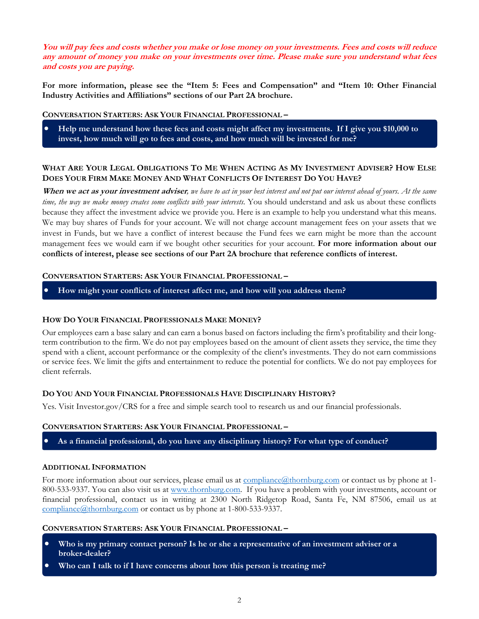**You will pay fees and costs whether you make or lose money on your investments. Fees and costs will reduce any amount of money you make on your investments over time. Please make sure you understand what fees and costs you are paying.** 

**For more information, please see the "Item 5: Fees and Compensation" and "Item 10: Other Financial Industry Activities and Affiliations" sections of our Part 2A brochure.** 

**CONVERSATION STARTERS: ASK YOUR FINANCIAL PROFESSIONAL –**

 **Help me understand how these fees and costs might affect my investments. If I give you \$10,000 to invest, how much will go to fees and costs, and how much will be invested for me?** 

#### **WHAT ARE YOUR LEGAL OBLIGATIONS TO ME WHEN ACTING AS MY INVESTMENT ADVISER? HOW ELSE DOES YOUR FIRM MAKE MONEY AND WHAT CONFLICTS OF INTEREST DO YOU HAVE?**

**When we act as your investment adviser***, we have to act in your best interest and not put our interest ahead of yours. At the same time, the way we make money creates some conflicts with your interests.* You should understand and ask us about these conflicts because they affect the investment advice we provide you. Here is an example to help you understand what this means. We may buy shares of Funds for your account. We will not charge account management fees on your assets that we invest in Funds, but we have a conflict of interest because the Fund fees we earn might be more than the account management fees we would earn if we bought other securities for your account. **For more information about our conflicts of interest, please see sections of our Part 2A brochure that reference conflicts of interest.** 

#### **CONVERSATION STARTERS: ASK YOUR FINANCIAL PROFESSIONAL –**

**How might your conflicts of interest affect me, and how will you address them?** 

#### **HOW DO YOUR FINANCIAL PROFESSIONALS MAKE MONEY?**

Our employees earn a base salary and can earn a bonus based on factors including the firm's profitability and their longterm contribution to the firm. We do not pay employees based on the amount of client assets they service, the time they spend with a client, account performance or the complexity of the client's investments. They do not earn commissions or service fees. We limit the gifts and entertainment to reduce the potential for conflicts. We do not pay employees for client referrals.

#### **DO YOU AND YOUR FINANCIAL PROFESSIONALS HAVE DISCIPLINARY HISTORY?**

Yes. Visit Investor.gov/CRS for a free and simple search tool to research us and our financial professionals.

#### **CONVERSATION STARTERS: ASK YOUR FINANCIAL PROFESSIONAL –**

**As a financial professional, do you have any disciplinary history? For what type of conduct?** 

#### **ADDITIONAL INFORMATION**

For more information about our services, please email us at  $\overline{compliance(æthornburg.com)}$  or contact us by phone at 1-800-533-9337. You can also visit us at www.thornburg.com. If you have a problem with your investments, account or financial professional, contact us in writing at 2300 North Ridgetop Road, Santa Fe, NM 87506, email us at compliance@thornburg.com or contact us by phone at 1-800-533-9337.

#### **CONVERSATION STARTERS: ASK YOUR FINANCIAL PROFESSIONAL –**

- **Who is my primary contact person? Is he or she a representative of an investment adviser or a broker-dealer?**
- **Who can I talk to if I have concerns about how this person is treating me?**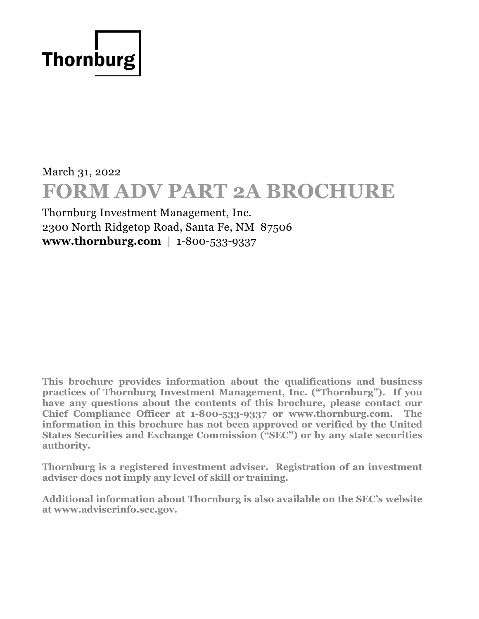

# March 31, 2022 **FORM ADV PART 2A BROCHURE**

Thornburg Investment Management, Inc. 2300 North Ridgetop Road, Santa Fe, NM 87506 **[www.thornburg.com](http://www.thornburg.com/)** | 1-800-533-9337

**This brochure provides information about the qualifications and business practices of Thornburg Investment Management, Inc. ("Thornburg"). If you have any questions about the contents of this brochure, please contact our Chief Compliance Officer at 1-800-533-9337 or www.thornburg.com. The information in this brochure has not been approved or verified by the United States Securities and Exchange Commission ("SEC") or by any state securities authority.**

**Thornburg is a registered investment adviser. Registration of an investment adviser does not imply any level of skill or training.** 

**Additional information about Thornburg is also available on the SEC's website at www.adviserinfo.sec.gov.**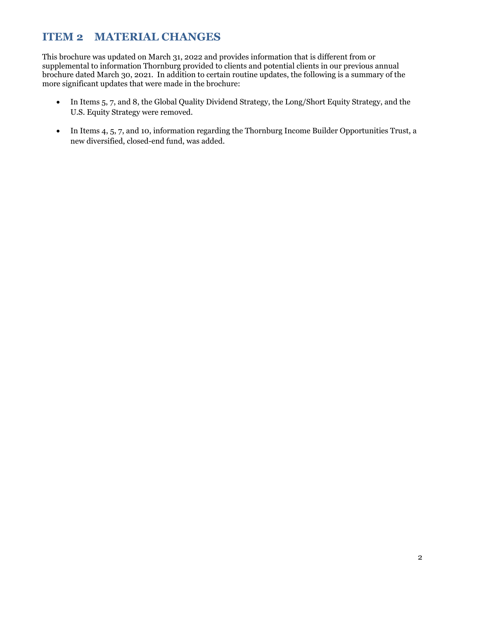### **ITEM 2 MATERIAL CHANGES**

This brochure was updated on March 31, 2022 and provides information that is different from or supplemental to information Thornburg provided to clients and potential clients in our previous annual brochure dated March 30, 2021. In addition to certain routine updates, the following is a summary of the more significant updates that were made in the brochure:

- In Items 5, 7, and 8, the Global Quality Dividend Strategy, the Long/Short Equity Strategy, and the U.S. Equity Strategy were removed.
- In Items 4, 5, 7, and 10, information regarding the Thornburg Income Builder Opportunities Trust, a new diversified, closed-end fund, was added.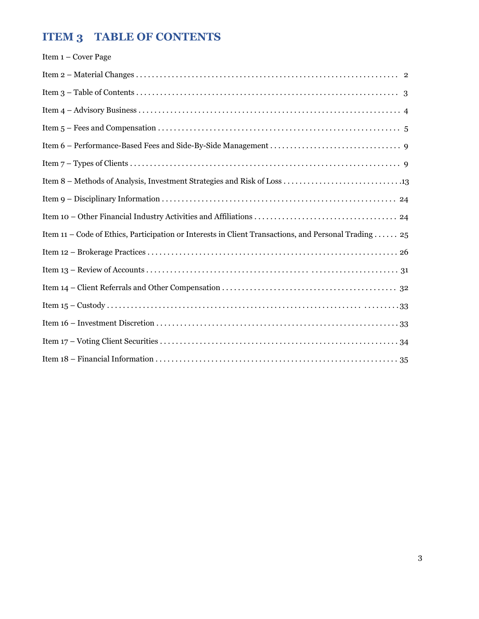## **ITEM 3 TABLE OF CONTENTS**

| Item $1 -$ Cover Page                                                                                |
|------------------------------------------------------------------------------------------------------|
|                                                                                                      |
|                                                                                                      |
|                                                                                                      |
|                                                                                                      |
|                                                                                                      |
|                                                                                                      |
|                                                                                                      |
|                                                                                                      |
|                                                                                                      |
| Item 11 – Code of Ethics, Participation or Interests in Client Transactions, and Personal Trading 25 |
|                                                                                                      |
|                                                                                                      |
|                                                                                                      |
|                                                                                                      |
|                                                                                                      |
|                                                                                                      |
|                                                                                                      |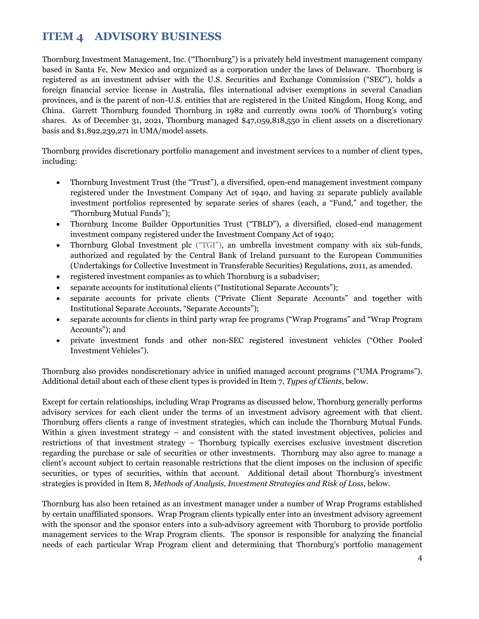### **ITEM 4 ADVISORY BUSINESS**

Thornburg Investment Management, Inc. ("Thornburg") is a privately held investment management company based in Santa Fe, New Mexico and organized as a corporation under the laws of Delaware. Thornburg is registered as an investment adviser with the U.S. Securities and Exchange Commission ("SEC"), holds a foreign financial service license in Australia, files international adviser exemptions in several Canadian provinces, and is the parent of non-U.S. entities that are registered in the United Kingdom, Hong Kong, and China. Garrett Thornburg founded Thornburg in 1982 and currently owns 100% of Thornburg's voting shares. As of December 31, 2021, Thornburg managed \$47,059,818,550 in client assets on a discretionary basis and \$1,892,239,271 in UMA/model assets.

Thornburg provides discretionary portfolio management and investment services to a number of client types, including:

- Thornburg Investment Trust (the "Trust"), a diversified, open-end management investment company registered under the Investment Company Act of 1940, and having 21 separate publicly available investment portfolios represented by separate series of shares (each, a "Fund," and together, the "Thornburg Mutual Funds");
- Thornburg Income Builder Opportunities Trust ("TBLD"), a diversified, closed-end management investment company registered under the Investment Company Act of 1940;
- Thornburg Global Investment plc ("TGI"), an umbrella investment company with six sub-funds, authorized and regulated by the Central Bank of Ireland pursuant to the European Communities (Undertakings for Collective Investment in Transferable Securities) Regulations, 2011, as amended.
- registered investment companies as to which Thornburg is a subadviser;
- separate accounts for institutional clients ("Institutional Separate Accounts");
- separate accounts for private clients ("Private Client Separate Accounts" and together with Institutional Separate Accounts, "Separate Accounts");
- separate accounts for clients in third party wrap fee programs ("Wrap Programs" and "Wrap Program Accounts"); and
- private investment funds and other non-SEC registered investment vehicles ("Other Pooled Investment Vehicles").

Thornburg also provides nondiscretionary advice in unified managed account programs ("UMA Programs"). Additional detail about each of these client types is provided in Item 7, *Types of Clients*, below.

Except for certain relationships, including Wrap Programs as discussed below, Thornburg generally performs advisory services for each client under the terms of an investment advisory agreement with that client. Thornburg offers clients a range of investment strategies, which can include the Thornburg Mutual Funds. Within a given investment strategy – and consistent with the stated investment objectives, policies and restrictions of that investment strategy – Thornburg typically exercises exclusive investment discretion regarding the purchase or sale of securities or other investments. Thornburg may also agree to manage a client's account subject to certain reasonable restrictions that the client imposes on the inclusion of specific securities, or types of securities, within that account. Additional detail about Thornburg's investment strategies is provided in Item 8, *Methods of Analysis, Investment Strategies and Risk of Loss,* below.

Thornburg has also been retained as an investment manager under a number of Wrap Programs established by certain unaffiliated sponsors. Wrap Program clients typically enter into an investment advisory agreement with the sponsor and the sponsor enters into a sub-advisory agreement with Thornburg to provide portfolio management services to the Wrap Program clients. The sponsor is responsible for analyzing the financial needs of each particular Wrap Program client and determining that Thornburg's portfolio management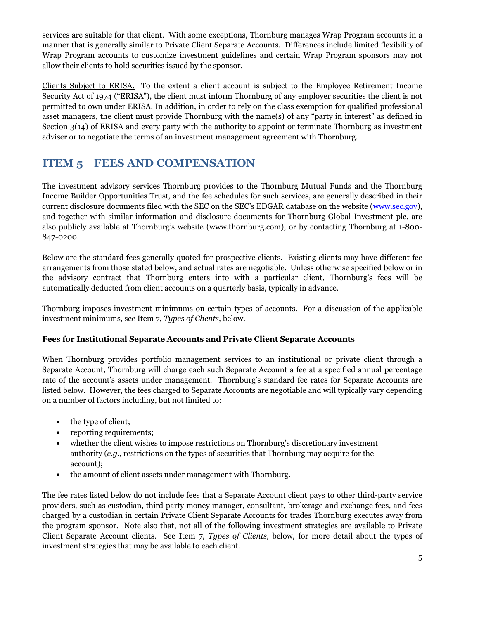services are suitable for that client. With some exceptions, Thornburg manages Wrap Program accounts in a manner that is generally similar to Private Client Separate Accounts. Differences include limited flexibility of Wrap Program accounts to customize investment guidelines and certain Wrap Program sponsors may not allow their clients to hold securities issued by the sponsor.

Clients Subject to ERISA. To the extent a client account is subject to the Employee Retirement Income Security Act of 1974 ("ERISA"), the client must inform Thornburg of any employer securities the client is not permitted to own under ERISA. In addition, in order to rely on the class exemption for qualified professional asset managers, the client must provide Thornburg with the name(s) of any "party in interest" as defined in Section 3(14) of ERISA and every party with the authority to appoint or terminate Thornburg as investment adviser or to negotiate the terms of an investment management agreement with Thornburg.

### **ITEM 5 FEES AND COMPENSATION**

The investment advisory services Thornburg provides to the Thornburg Mutual Funds and the Thornburg Income Builder Opportunities Trust, and the fee schedules for such services, are generally described in their current disclosure documents filed with the SEC on the SEC's EDGAR database on the website [\(www.sec.gov\)](http://www.sec.gov/), and together with similar information and disclosure documents for Thornburg Global Investment plc, are also publicly available at Thornburg's website (www.thornburg.com), or by contacting Thornburg at 1-800- 847-0200.

Below are the standard fees generally quoted for prospective clients. Existing clients may have different fee arrangements from those stated below, and actual rates are negotiable. Unless otherwise specified below or in the advisory contract that Thornburg enters into with a particular client, Thornburg's fees will be automatically deducted from client accounts on a quarterly basis, typically in advance.

Thornburg imposes investment minimums on certain types of accounts. For a discussion of the applicable investment minimums, see Item 7, *Types of Clients*, below.

#### **Fees for Institutional Separate Accounts and Private Client Separate Accounts**

When Thornburg provides portfolio management services to an institutional or private client through a Separate Account, Thornburg will charge each such Separate Account a fee at a specified annual percentage rate of the account's assets under management. Thornburg's standard fee rates for Separate Accounts are listed below. However, the fees charged to Separate Accounts are negotiable and will typically vary depending on a number of factors including, but not limited to:

- the type of client;
- reporting requirements;
- whether the client wishes to impose restrictions on Thornburg's discretionary investment authority (*e.g.*, restrictions on the types of securities that Thornburg may acquire for the account);
- the amount of client assets under management with Thornburg.

The fee rates listed below do not include fees that a Separate Account client pays to other third-party service providers, such as custodian, third party money manager, consultant, brokerage and exchange fees, and fees charged by a custodian in certain Private Client Separate Accounts for trades Thornburg executes away from the program sponsor. Note also that, not all of the following investment strategies are available to Private Client Separate Account clients. See Item 7, *Types of Clients*, below, for more detail about the types of investment strategies that may be available to each client.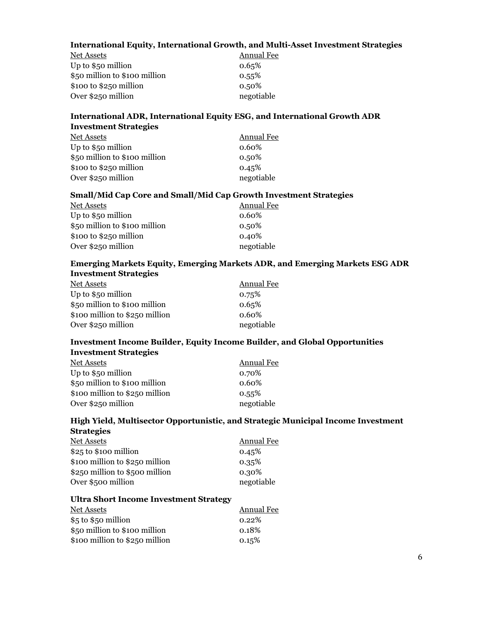#### **International Equity, International Growth, and Multi-Asset Investment Strategies**

| Net Assets                    | Annual Fee |
|-------------------------------|------------|
| Up to $$50$ million           | 0.65%      |
| \$50 million to \$100 million | 0.55%      |
| $$100 to $250$ million        | $0.50\%$   |
| Over \$250 million            | negotiable |

#### **International ADR, International Equity ESG, and International Growth ADR Investment Strategies**

| Annual Fee |
|------------|
| $0.60\%$   |
| $0.50\%$   |
| 0.45%      |
| negotiable |
|            |

#### **Small/Mid Cap Core and Small/Mid Cap Growth Investment Strategies**

| Net Assets                    | Annual Fee |
|-------------------------------|------------|
| Up to $$50$ million           | 0.60%      |
| \$50 million to \$100 million | $0.50\%$   |
| $$100 to $250$ million        | 0.40%      |
| Over \$250 million            | negotiable |

#### **Emerging Markets Equity, Emerging Markets ADR, and Emerging Markets ESG ADR Investment Strategies**

| Net Assets                     | <b>Annual Fee</b> |
|--------------------------------|-------------------|
| Up to $$50$ million            | 0.75%             |
| \$50 million to \$100 million  | 0.65%             |
| \$100 million to \$250 million | $0.60\%$          |
| Over \$250 million             | negotiable        |

#### **Investment Income Builder, Equity Income Builder, and Global Opportunities Investment Strategies**

| <u>Net Assets</u>              | Annual Fee |
|--------------------------------|------------|
| Up to $$50$ million            | 0.70%      |
| \$50 million to \$100 million  | $0.60\%$   |
| \$100 million to \$250 million | 0.55%      |
| Over \$250 million             | negotiable |

#### **High Yield, Multisector Opportunistic, and Strategic Municipal Income Investment Strategies**

| Net Assets                     | <b>Annual Fee</b> |
|--------------------------------|-------------------|
| $$25$ to $$100$ million        | 0.45%             |
| \$100 million to \$250 million | 0.35%             |
| \$250 million to \$500 million | 0.30%             |
| Over \$500 million             | negotiable        |
|                                |                   |

#### **Ultra Short Income Investment Strategy**

| <b>Net Assets</b>              | <b>Annual Fee</b> |
|--------------------------------|-------------------|
| $$5$ to $$5$ o million         | $0.22\%$          |
| \$50 million to \$100 million  | 0.18%             |
| \$100 million to \$250 million | 0.15%             |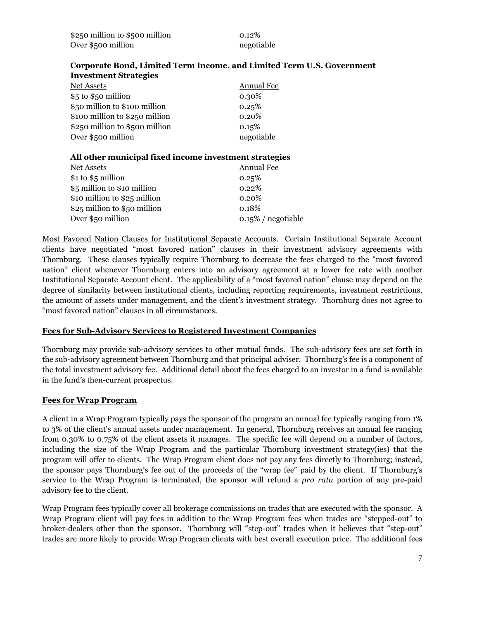| \$250 million to \$500 million | $0.12\%$   |
|--------------------------------|------------|
| Over \$500 million             | negotiable |

#### **Corporate Bond, Limited Term Income, and Limited Term U.S. Government Investment Strategies**

| Net Assets                     | Annual Fee |
|--------------------------------|------------|
| \$5 to \$50 million            | 0.30%      |
| \$50 million to \$100 million  | 0.25%      |
| \$100 million to \$250 million | 0.20%      |
| \$250 million to \$500 million | 0.15%      |
| Over \$500 million             | negotiable |
|                                |            |

#### **All other municipal fixed income investment strategies**

| Net Assets                   | Annual Fee            |
|------------------------------|-----------------------|
| $$1 to $5$ million           | 0.25%                 |
| \$5 million to \$10 million  | 0.22%                 |
| \$10 million to \$25 million | 0.20%                 |
| \$25 million to \$50 million | 0.18%                 |
| Over \$50 million            | $0.15\%$ / negotiable |
|                              |                       |

Most Favored Nation Clauses for Institutional Separate Accounts. Certain Institutional Separate Account clients have negotiated "most favored nation" clauses in their investment advisory agreements with Thornburg. These clauses typically require Thornburg to decrease the fees charged to the "most favored nation" client whenever Thornburg enters into an advisory agreement at a lower fee rate with another Institutional Separate Account client. The applicability of a "most favored nation" clause may depend on the degree of similarity between institutional clients, including reporting requirements, investment restrictions, the amount of assets under management, and the client's investment strategy. Thornburg does not agree to "most favored nation" clauses in all circumstances.

#### **Fees for Sub-Advisory Services to Registered Investment Companies**

Thornburg may provide sub-advisory services to other mutual funds. The sub-advisory fees are set forth in the sub-advisory agreement between Thornburg and that principal adviser. Thornburg's fee is a component of the total investment advisory fee. Additional detail about the fees charged to an investor in a fund is available in the fund's then-current prospectus.

#### **Fees for Wrap Program**

A client in a Wrap Program typically pays the sponsor of the program an annual fee typically ranging from 1% to 3% of the client's annual assets under management. In general, Thornburg receives an annual fee ranging from 0.30% to 0.75% of the client assets it manages. The specific fee will depend on a number of factors, including the size of the Wrap Program and the particular Thornburg investment strategy(ies) that the program will offer to clients. The Wrap Program client does not pay any fees directly to Thornburg; instead, the sponsor pays Thornburg's fee out of the proceeds of the "wrap fee" paid by the client. If Thornburg's service to the Wrap Program is terminated, the sponsor will refund a *pro rata* portion of any pre-paid advisory fee to the client.

Wrap Program fees typically cover all brokerage commissions on trades that are executed with the sponsor. A Wrap Program client will pay fees in addition to the Wrap Program fees when trades are "stepped-out" to broker-dealers other than the sponsor. Thornburg will "step-out" trades when it believes that "step-out" trades are more likely to provide Wrap Program clients with best overall execution price. The additional fees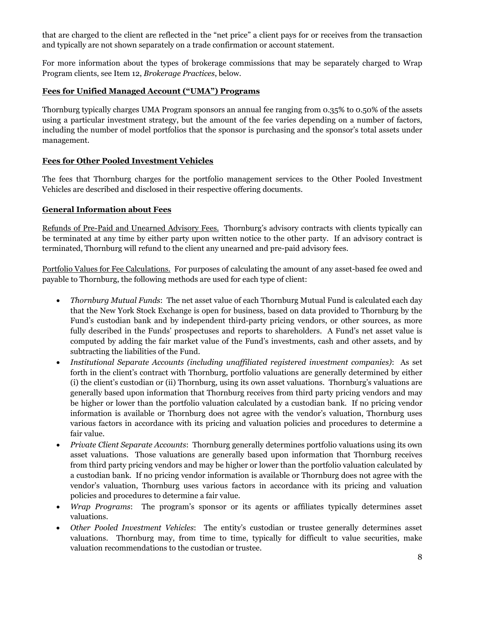that are charged to the client are reflected in the "net price" a client pays for or receives from the transaction and typically are not shown separately on a trade confirmation or account statement.

For more information about the types of brokerage commissions that may be separately charged to Wrap Program clients, see Item 12, *Brokerage Practices*, below.

#### **Fees for Unified Managed Account ("UMA") Programs**

Thornburg typically charges UMA Program sponsors an annual fee ranging from 0.35% to 0.50% of the assets using a particular investment strategy, but the amount of the fee varies depending on a number of factors, including the number of model portfolios that the sponsor is purchasing and the sponsor's total assets under management.

#### **Fees for Other Pooled Investment Vehicles**

The fees that Thornburg charges for the portfolio management services to the Other Pooled Investment Vehicles are described and disclosed in their respective offering documents.

#### **General Information about Fees**

Refunds of Pre-Paid and Unearned Advisory Fees. Thornburg's advisory contracts with clients typically can be terminated at any time by either party upon written notice to the other party. If an advisory contract is terminated, Thornburg will refund to the client any unearned and pre-paid advisory fees.

Portfolio Values for Fee Calculations. For purposes of calculating the amount of any asset-based fee owed and payable to Thornburg, the following methods are used for each type of client:

- *Thornburg Mutual Funds*: The net asset value of each Thornburg Mutual Fund is calculated each day that the New York Stock Exchange is open for business, based on data provided to Thornburg by the Fund's custodian bank and by independent third-party pricing vendors, or other sources, as more fully described in the Funds' prospectuses and reports to shareholders. A Fund's net asset value is computed by adding the fair market value of the Fund's investments, cash and other assets, and by subtracting the liabilities of the Fund.
- *Institutional Separate Accounts (including unaffiliated registered investment companies)*: As set forth in the client's contract with Thornburg, portfolio valuations are generally determined by either (i) the client's custodian or (ii) Thornburg, using its own asset valuations. Thornburg's valuations are generally based upon information that Thornburg receives from third party pricing vendors and may be higher or lower than the portfolio valuation calculated by a custodian bank. If no pricing vendor information is available or Thornburg does not agree with the vendor's valuation, Thornburg uses various factors in accordance with its pricing and valuation policies and procedures to determine a fair value.
- *Private Client Separate Accounts*: Thornburg generally determines portfolio valuations using its own asset valuations. Those valuations are generally based upon information that Thornburg receives from third party pricing vendors and may be higher or lower than the portfolio valuation calculated by a custodian bank. If no pricing vendor information is available or Thornburg does not agree with the vendor's valuation, Thornburg uses various factors in accordance with its pricing and valuation policies and procedures to determine a fair value.
- *Wrap Programs*: The program's sponsor or its agents or affiliates typically determines asset valuations.
- *Other Pooled Investment Vehicles*: The entity's custodian or trustee generally determines asset valuations. Thornburg may, from time to time, typically for difficult to value securities, make valuation recommendations to the custodian or trustee.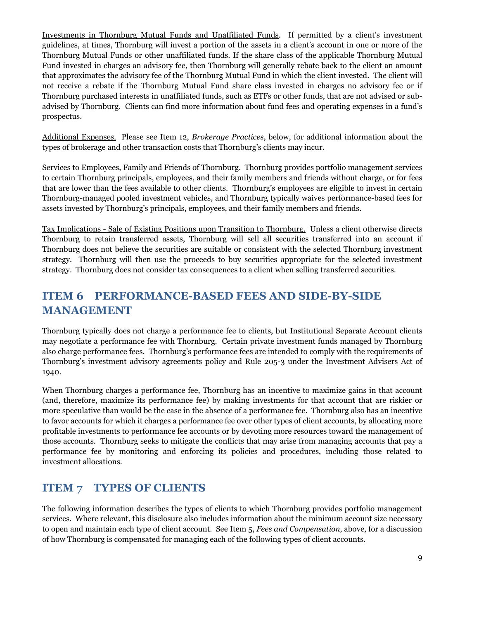Investments in Thornburg Mutual Funds and Unaffiliated Funds. If permitted by a client's investment guidelines, at times, Thornburg will invest a portion of the assets in a client's account in one or more of the Thornburg Mutual Funds or other unaffiliated funds. If the share class of the applicable Thornburg Mutual Fund invested in charges an advisory fee, then Thornburg will generally rebate back to the client an amount that approximates the advisory fee of the Thornburg Mutual Fund in which the client invested. The client will not receive a rebate if the Thornburg Mutual Fund share class invested in charges no advisory fee or if Thornburg purchased interests in unaffiliated funds, such as ETFs or other funds, that are not advised or subadvised by Thornburg. Clients can find more information about fund fees and operating expenses in a fund's prospectus.

Additional Expenses. Please see Item 12, *Brokerage Practices*, below, for additional information about the types of brokerage and other transaction costs that Thornburg's clients may incur.

Services to Employees, Family and Friends of Thornburg. Thornburg provides portfolio management services to certain Thornburg principals, employees, and their family members and friends without charge, or for fees that are lower than the fees available to other clients. Thornburg's employees are eligible to invest in certain Thornburg-managed pooled investment vehicles, and Thornburg typically waives performance-based fees for assets invested by Thornburg's principals, employees, and their family members and friends.

Tax Implications - Sale of Existing Positions upon Transition to Thornburg. Unless a client otherwise directs Thornburg to retain transferred assets, Thornburg will sell all securities transferred into an account if Thornburg does not believe the securities are suitable or consistent with the selected Thornburg investment strategy. Thornburg will then use the proceeds to buy securities appropriate for the selected investment strategy. Thornburg does not consider tax consequences to a client when selling transferred securities.

### **ITEM 6 PERFORMANCE-BASED FEES AND SIDE-BY-SIDE MANAGEMENT**

Thornburg typically does not charge a performance fee to clients, but Institutional Separate Account clients may negotiate a performance fee with Thornburg. Certain private investment funds managed by Thornburg also charge performance fees. Thornburg's performance fees are intended to comply with the requirements of Thornburg's investment advisory agreements policy and Rule 205-3 under the Investment Advisers Act of 1940.

When Thornburg charges a performance fee, Thornburg has an incentive to maximize gains in that account (and, therefore, maximize its performance fee) by making investments for that account that are riskier or more speculative than would be the case in the absence of a performance fee. Thornburg also has an incentive to favor accounts for which it charges a performance fee over other types of client accounts, by allocating more profitable investments to performance fee accounts or by devoting more resources toward the management of those accounts. Thornburg seeks to mitigate the conflicts that may arise from managing accounts that pay a performance fee by monitoring and enforcing its policies and procedures, including those related to investment allocations.

### **ITEM 7 TYPES OF CLIENTS**

The following information describes the types of clients to which Thornburg provides portfolio management services. Where relevant, this disclosure also includes information about the minimum account size necessary to open and maintain each type of client account. See Item 5, *Fees and Compensation*, above, for a discussion of how Thornburg is compensated for managing each of the following types of client accounts.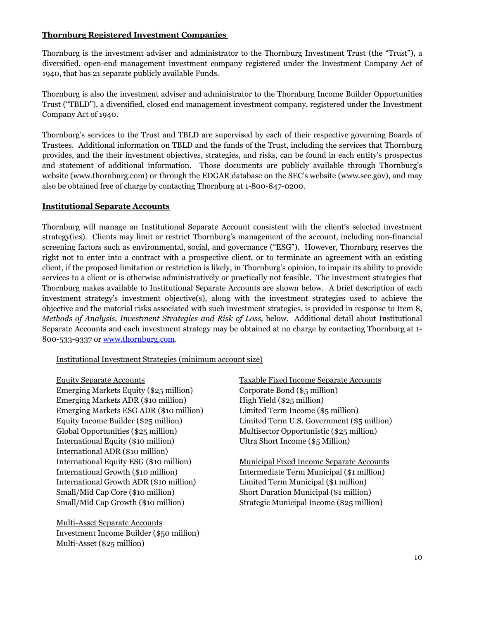#### **Thornburg Registered Investment Companies**

Thornburg is the investment adviser and administrator to the Thornburg Investment Trust (the "Trust"), a diversified, open-end management investment company registered under the Investment Company Act of 1940, that has 21 separate publicly available Funds.

Thornburg is also the investment adviser and administrator to the Thornburg Income Builder Opportunities Trust ("TBLD"), a diversified, closed end management investment company, registered under the Investment Company Act of 1940.

Thornburg's services to the Trust and TBLD are supervised by each of their respective governing Boards of Trustees. Additional information on TBLD and the funds of the Trust, including the services that Thornburg provides, and the their investment objectives, strategies, and risks, can be found in each entity's prospectus and statement of additional information. Those documents are publicly available through Thornburg's website (www.thornburg.com) or through the EDGAR database on the SEC's website (www.sec.gov), and may also be obtained free of charge by contacting Thornburg at 1-800-847-0200.

#### **Institutional Separate Accounts**

Thornburg will manage an Institutional Separate Account consistent with the client's selected investment strategy(ies). Clients may limit or restrict Thornburg's management of the account, including non-financial screening factors such as environmental, social, and governance ("ESG"). However, Thornburg reserves the right not to enter into a contract with a prospective client, or to terminate an agreement with an existing client, if the proposed limitation or restriction is likely, in Thornburg's opinion, to impair its ability to provide services to a client or is otherwise administratively or practically not feasible. The investment strategies that Thornburg makes available to Institutional Separate Accounts are shown below. A brief description of each investment strategy's investment objective(s), along with the investment strategies used to achieve the objective and the material risks associated with such investment strategies, is provided in response to Item 8, *Methods of Analysis, Investment Strategies and Risk of Loss,* below. Additional detail about Institutional Separate Accounts and each investment strategy may be obtained at no charge by contacting Thornburg at 1- 800-533-9337 or [www.thornburg.com.](http://www.thornburg.com/)

#### Institutional Investment Strategies (minimum account size)

Equity Separate Accounts Taxable Fixed Income Separate Accounts Emerging Markets Equity (\$25 million) Corporate Bond (\$5 million) Emerging Markets ADR (\$10 million) High Yield (\$25 million) Emerging Markets ESG ADR (\$10 million) Limited Term Income (\$5 million) Global Opportunities (\$25 million) Multisector Opportunistic (\$25 million) International Equity (\$10 million) Ultra Short Income (\$5 Million) International ADR (\$10 million) International Growth (\$10 million) Intermediate Term Municipal (\$1 million) International Growth ADR (\$10 million) Limited Term Municipal (\$1 million) Small/Mid Cap Core (\$10 million) Short Duration Municipal (\$1 million) Small/Mid Cap Growth (\$10 million) Strategic Municipal Income (\$25 million)

Multi-Asset Separate Accounts Investment Income Builder (\$50 million) Multi-Asset (\$25 million)

Equity Income Builder (\$25 million) Limited Term U.S. Government (\$5 million)

International Equity ESG (\$10 million) Municipal Fixed Income Separate Accounts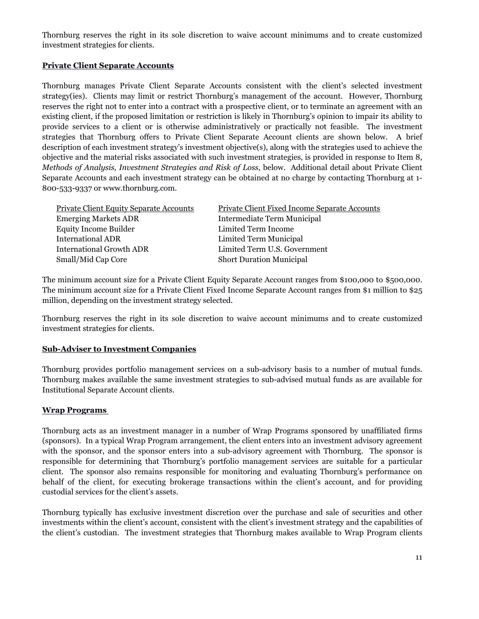Thornburg reserves the right in its sole discretion to waive account minimums and to create customized investment strategies for clients.

#### **Private Client Separate Accounts**

Thornburg manages Private Client Separate Accounts consistent with the client's selected investment strategy(ies). Clients may limit or restrict Thornburg's management of the account. However, Thornburg reserves the right not to enter into a contract with a prospective client, or to terminate an agreement with an existing client, if the proposed limitation or restriction is likely in Thornburg's opinion to impair its ability to provide services to a client or is otherwise administratively or practically not feasible. The investment strategies that Thornburg offers to Private Client Separate Account clients are shown below. A brief description of each investment strategy's investment objective(s), along with the strategies used to achieve the objective and the material risks associated with such investment strategies, is provided in response to Item 8, *Methods of Analysis, Investment Strategies and Risk of Loss*, below. Additional detail about Private Client Separate Accounts and each investment strategy can be obtained at no charge by contacting Thornburg at 1- 800-533-9337 or www.thornburg.com.

| Private Client Equity Separate Accounts | Private Client Fixed Income Separate Accounts |
|-----------------------------------------|-----------------------------------------------|
| <b>Emerging Markets ADR</b>             | Intermediate Term Municipal                   |
| <b>Equity Income Builder</b>            | Limited Term Income                           |
| <b>International ADR</b>                | Limited Term Municipal                        |
| <b>International Growth ADR</b>         | Limited Term U.S. Government                  |
| Small/Mid Cap Core                      | <b>Short Duration Municipal</b>               |

The minimum account size for a Private Client Equity Separate Account ranges from \$100,000 to \$500,000. The minimum account size for a Private Client Fixed Income Separate Account ranges from \$1 million to \$25 million, depending on the investment strategy selected.

Thornburg reserves the right in its sole discretion to waive account minimums and to create customized investment strategies for clients.

#### **Sub-Adviser to Investment Companies**

Thornburg provides portfolio management services on a sub-advisory basis to a number of mutual funds. Thornburg makes available the same investment strategies to sub-advised mutual funds as are available for Institutional Separate Account clients.

#### **Wrap Programs**

Thornburg acts as an investment manager in a number of Wrap Programs sponsored by unaffiliated firms (sponsors). In a typical Wrap Program arrangement, the client enters into an investment advisory agreement with the sponsor, and the sponsor enters into a sub-advisory agreement with Thornburg. The sponsor is responsible for determining that Thornburg's portfolio management services are suitable for a particular client. The sponsor also remains responsible for monitoring and evaluating Thornburg's performance on behalf of the client, for executing brokerage transactions within the client's account, and for providing custodial services for the client's assets.

Thornburg typically has exclusive investment discretion over the purchase and sale of securities and other investments within the client's account, consistent with the client's investment strategy and the capabilities of the client's custodian. The investment strategies that Thornburg makes available to Wrap Program clients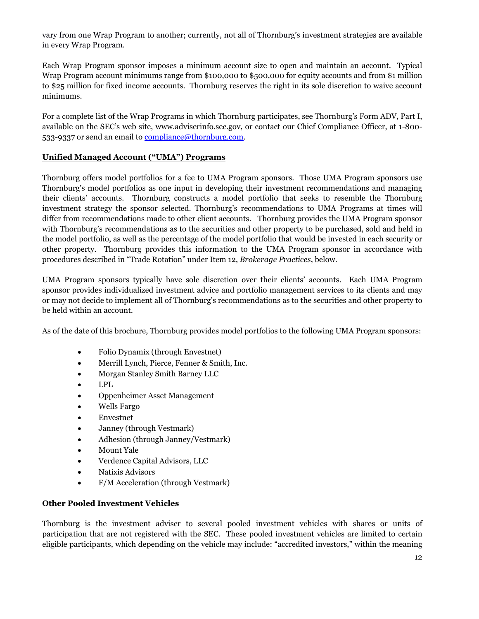vary from one Wrap Program to another; currently, not all of Thornburg's investment strategies are available in every Wrap Program.

Each Wrap Program sponsor imposes a minimum account size to open and maintain an account. Typical Wrap Program account minimums range from \$100,000 to \$500,000 for equity accounts and from \$1 million to \$25 million for fixed income accounts. Thornburg reserves the right in its sole discretion to waive account minimums.

For a complete list of the Wrap Programs in which Thornburg participates, see Thornburg's Form ADV, Part I, available on the SEC's web site, www.adviserinfo.sec.gov, or contact our Chief Compliance Officer, at 1-800 533-9337 or send an email to [compliance@thornburg.com.](mailto:compliance@thornburg.com)

#### **Unified Managed Account ("UMA") Programs**

Thornburg offers model portfolios for a fee to UMA Program sponsors. Those UMA Program sponsors use Thornburg's model portfolios as one input in developing their investment recommendations and managing their clients' accounts. Thornburg constructs a model portfolio that seeks to resemble the Thornburg investment strategy the sponsor selected. Thornburg's recommendations to UMA Programs at times will differ from recommendations made to other client accounts. Thornburg provides the UMA Program sponsor with Thornburg's recommendations as to the securities and other property to be purchased, sold and held in the model portfolio, as well as the percentage of the model portfolio that would be invested in each security or other property. Thornburg provides this information to the UMA Program sponsor in accordance with procedures described in "Trade Rotation" under Item 12, *Brokerage Practices*, below.

UMA Program sponsors typically have sole discretion over their clients' accounts. Each UMA Program sponsor provides individualized investment advice and portfolio management services to its clients and may or may not decide to implement all of Thornburg's recommendations as to the securities and other property to be held within an account.

As of the date of this brochure, Thornburg provides model portfolios to the following UMA Program sponsors:

- Folio Dynamix (through Envestnet)
- Merrill Lynch, Pierce, Fenner & Smith, Inc.
- Morgan Stanley Smith Barney LLC
- LPL
- Oppenheimer Asset Management
- Wells Fargo
- Envestnet
- Janney (through Vestmark)
- Adhesion (through Janney/Vestmark)
- Mount Yale
- Verdence Capital Advisors, LLC
- Natixis Advisors
- F/M Acceleration (through Vestmark)

#### **Other Pooled Investment Vehicles**

Thornburg is the investment adviser to several pooled investment vehicles with shares or units of participation that are not registered with the SEC. These pooled investment vehicles are limited to certain eligible participants, which depending on the vehicle may include: "accredited investors," within the meaning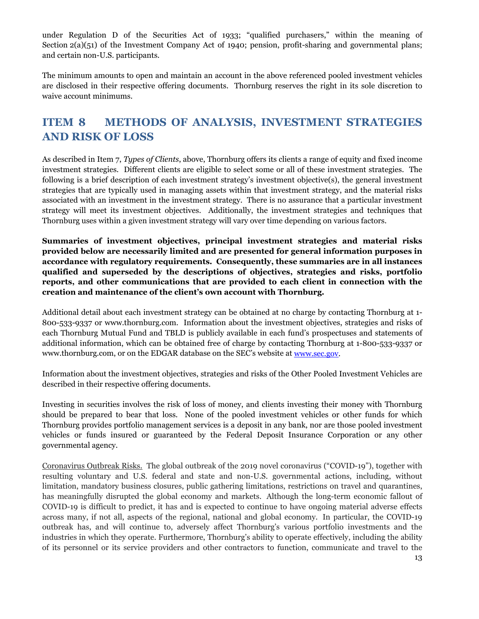under Regulation D of the Securities Act of 1933; "qualified purchasers," within the meaning of Section 2(a)(51) of the Investment Company Act of 1940; pension, profit-sharing and governmental plans; and certain non-U.S. participants.

The minimum amounts to open and maintain an account in the above referenced pooled investment vehicles are disclosed in their respective offering documents. Thornburg reserves the right in its sole discretion to waive account minimums.

### **ITEM 8 METHODS OF ANALYSIS, INVESTMENT STRATEGIES AND RISK OF LOSS**

As described in Item 7, *Types of Clients*, above, Thornburg offers its clients a range of equity and fixed income investment strategies. Different clients are eligible to select some or all of these investment strategies. The following is a brief description of each investment strategy's investment objective(s), the general investment strategies that are typically used in managing assets within that investment strategy, and the material risks associated with an investment in the investment strategy. There is no assurance that a particular investment strategy will meet its investment objectives. Additionally, the investment strategies and techniques that Thornburg uses within a given investment strategy will vary over time depending on various factors.

**Summaries of investment objectives, principal investment strategies and material risks provided below are necessarily limited and are presented for general information purposes in accordance with regulatory requirements. Consequently, these summaries are in all instances qualified and superseded by the descriptions of objectives, strategies and risks, portfolio reports, and other communications that are provided to each client in connection with the creation and maintenance of the client's own account with Thornburg.**

Additional detail about each investment strategy can be obtained at no charge by contacting Thornburg at 1- 800-533-9337 or www.thornburg.com. Information about the investment objectives, strategies and risks of each Thornburg Mutual Fund and TBLD is publicly available in each fund's prospectuses and statements of additional information, which can be obtained free of charge by contacting Thornburg at 1-800-533-9337 or www.thornburg.com, or on the EDGAR database on the SEC's website at [www.sec.gov.](http://www.sec.gov/)

Information about the investment objectives, strategies and risks of the Other Pooled Investment Vehicles are described in their respective offering documents.

Investing in securities involves the risk of loss of money, and clients investing their money with Thornburg should be prepared to bear that loss. None of the pooled investment vehicles or other funds for which Thornburg provides portfolio management services is a deposit in any bank, nor are those pooled investment vehicles or funds insured or guaranteed by the Federal Deposit Insurance Corporation or any other governmental agency.

Coronavirus Outbreak Risks. The global outbreak of the 2019 novel coronavirus ("COVID-19"), together with resulting voluntary and U.S. federal and state and non-U.S. governmental actions, including, without limitation, mandatory business closures, public gathering limitations, restrictions on travel and quarantines, has meaningfully disrupted the global economy and markets. Although the long-term economic fallout of COVID-19 is difficult to predict, it has and is expected to continue to have ongoing material adverse effects across many, if not all, aspects of the regional, national and global economy. In particular, the COVID-19 outbreak has, and will continue to, adversely affect Thornburg's various portfolio investments and the industries in which they operate. Furthermore, Thornburg's ability to operate effectively, including the ability of its personnel or its service providers and other contractors to function, communicate and travel to the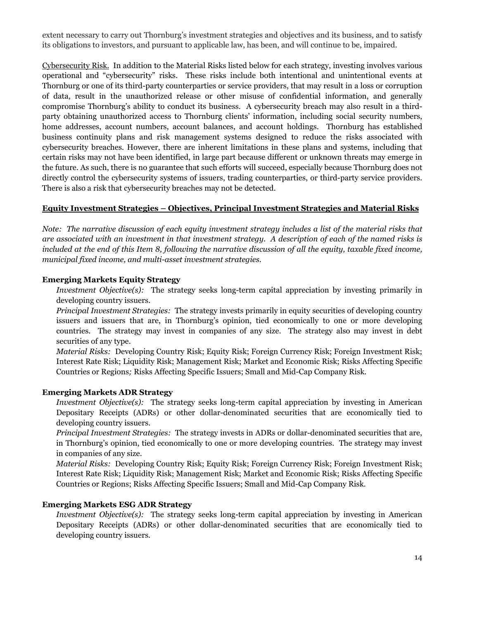extent necessary to carry out Thornburg's investment strategies and objectives and its business, and to satisfy its obligations to investors, and pursuant to applicable law, has been, and will continue to be, impaired.

Cybersecurity Risk. In addition to the Material Risks listed below for each strategy, investing involves various operational and "cybersecurity" risks. These risks include both intentional and unintentional events at Thornburg or one of its third-party counterparties or service providers, that may result in a loss or corruption of data, result in the unauthorized release or other misuse of confidential information, and generally compromise Thornburg's ability to conduct its business. A cybersecurity breach may also result in a thirdparty obtaining unauthorized access to Thornburg clients' information, including social security numbers, home addresses, account numbers, account balances, and account holdings. Thornburg has established business continuity plans and risk management systems designed to reduce the risks associated with cybersecurity breaches. However, there are inherent limitations in these plans and systems, including that certain risks may not have been identified, in large part because different or unknown threats may emerge in the future. As such, there is no guarantee that such efforts will succeed, especially because Thornburg does not directly control the cybersecurity systems of issuers, trading counterparties, or third-party service providers. There is also a risk that cybersecurity breaches may not be detected.

#### **Equity Investment Strategies – Objectives, Principal Investment Strategies and Material Risks**

*Note: The narrative discussion of each equity investment strategy includes a list of the material risks that are associated with an investment in that investment strategy. A description of each of the named risks is included at the end of this Item 8, following the narrative discussion of all the equity, taxable fixed income, municipal fixed income, and multi-asset investment strategies.* 

#### **Emerging Markets Equity Strategy**

*Investment Objective(s):* The strategy seeks long-term capital appreciation by investing primarily in developing country issuers.

*Principal Investment Strategies:* The strategy invests primarily in equity securities of developing country issuers and issuers that are, in Thornburg's opinion, tied economically to one or more developing countries. The strategy may invest in companies of any size. The strategy also may invest in debt securities of any type.

*Material Risks:* Developing Country Risk; Equity Risk; Foreign Currency Risk; Foreign Investment Risk; Interest Rate Risk; Liquidity Risk; Management Risk; Market and Economic Risk; Risks Affecting Specific Countries or Regions*;* Risks Affecting Specific Issuers; Small and Mid-Cap Company Risk.

#### **Emerging Markets ADR Strategy**

*Investment Objective(s):* The strategy seeks long-term capital appreciation by investing in American Depositary Receipts (ADRs) or other dollar-denominated securities that are economically tied to developing country issuers.

*Principal Investment Strategies:* The strategy invests in ADRs or dollar-denominated securities that are, in Thornburg's opinion, tied economically to one or more developing countries. The strategy may invest in companies of any size.

*Material Risks:* Developing Country Risk; Equity Risk; Foreign Currency Risk; Foreign Investment Risk; Interest Rate Risk; Liquidity Risk; Management Risk; Market and Economic Risk; Risks Affecting Specific Countries or Regions; Risks Affecting Specific Issuers; Small and Mid-Cap Company Risk.

#### **Emerging Markets ESG ADR Strategy**

*Investment Objective(s):* The strategy seeks long-term capital appreciation by investing in American Depositary Receipts (ADRs) or other dollar-denominated securities that are economically tied to developing country issuers.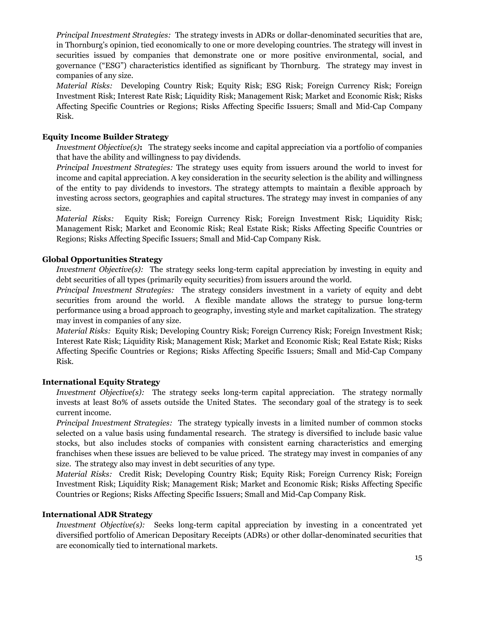*Principal Investment Strategies:* The strategy invests in ADRs or dollar-denominated securities that are, in Thornburg's opinion, tied economically to one or more developing countries. The strategy will invest in securities issued by companies that demonstrate one or more positive environmental, social, and governance ("ESG") characteristics identified as significant by Thornburg. The strategy may invest in companies of any size.

*Material Risks:* Developing Country Risk; Equity Risk; ESG Risk; Foreign Currency Risk; Foreign Investment Risk; Interest Rate Risk; Liquidity Risk; Management Risk; Market and Economic Risk; Risks Affecting Specific Countries or Regions; Risks Affecting Specific Issuers; Small and Mid-Cap Company Risk.

#### **Equity Income Builder Strategy**

*Investment Objective(s)***:** The strategy seeks income and capital appreciation via a portfolio of companies that have the ability and willingness to pay dividends.

*Principal Investment Strategies:* The strategy uses equity from issuers around the world to invest for income and capital appreciation. A key consideration in the security selection is the ability and willingness of the entity to pay dividends to investors. The strategy attempts to maintain a flexible approach by investing across sectors, geographies and capital structures. The strategy may invest in companies of any size.

*Material Risks:* Equity Risk; Foreign Currency Risk; Foreign Investment Risk; Liquidity Risk; Management Risk; Market and Economic Risk; Real Estate Risk; Risks Affecting Specific Countries or Regions; Risks Affecting Specific Issuers; Small and Mid-Cap Company Risk.

#### **Global Opportunities Strategy**

*Investment Objective(s)*: The strategy seeks long-term capital appreciation by investing in equity and debt securities of all types (primarily equity securities) from issuers around the world.

*Principal Investment Strategies:* The strategy considers investment in a variety of equity and debt securities from around the world. A flexible mandate allows the strategy to pursue long-term performance using a broad approach to geography, investing style and market capitalization. The strategy may invest in companies of any size.

*Material Risks:* Equity Risk; Developing Country Risk; Foreign Currency Risk; Foreign Investment Risk; Interest Rate Risk; Liquidity Risk; Management Risk; Market and Economic Risk; Real Estate Risk; Risks Affecting Specific Countries or Regions; Risks Affecting Specific Issuers; Small and Mid-Cap Company Risk.

#### **International Equity Strategy**

*Investment Objective(s):* The strategy seeks long-term capital appreciation. The strategy normally invests at least 80% of assets outside the United States. The secondary goal of the strategy is to seek current income.

*Principal Investment Strategies:* The strategy typically invests in a limited number of common stocks selected on a value basis using fundamental research. The strategy is diversified to include basic value stocks, but also includes stocks of companies with consistent earning characteristics and emerging franchises when these issues are believed to be value priced. The strategy may invest in companies of any size. The strategy also may invest in debt securities of any type.

*Material Risks:* Credit Risk; Developing Country Risk; Equity Risk; Foreign Currency Risk; Foreign Investment Risk; Liquidity Risk; Management Risk; Market and Economic Risk; Risks Affecting Specific Countries or Regions; Risks Affecting Specific Issuers; Small and Mid-Cap Company Risk.

#### **International ADR Strategy**

*Investment Objective(s):* Seeks long-term capital appreciation by investing in a concentrated yet diversified portfolio of American Depositary Receipts (ADRs) or other dollar-denominated securities that are economically tied to international markets.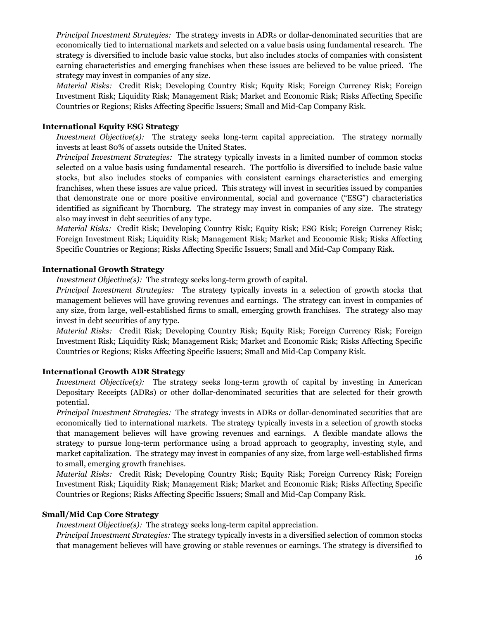*Principal Investment Strategies:* The strategy invests in ADRs or dollar-denominated securities that are economically tied to international markets and selected on a value basis using fundamental research. The strategy is diversified to include basic value stocks, but also includes stocks of companies with consistent earning characteristics and emerging franchises when these issues are believed to be value priced. The strategy may invest in companies of any size.

*Material Risks:* Credit Risk; Developing Country Risk; Equity Risk; Foreign Currency Risk; Foreign Investment Risk; Liquidity Risk; Management Risk; Market and Economic Risk; Risks Affecting Specific Countries or Regions; Risks Affecting Specific Issuers; Small and Mid-Cap Company Risk.

#### **International Equity ESG Strategy**

*Investment Objective(s):* The strategy seeks long-term capital appreciation. The strategy normally invests at least 80% of assets outside the United States.

*Principal Investment Strategies:* The strategy typically invests in a limited number of common stocks selected on a value basis using fundamental research. The portfolio is diversified to include basic value stocks, but also includes stocks of companies with consistent earnings characteristics and emerging franchises, when these issues are value priced. This strategy will invest in securities issued by companies that demonstrate one or more positive environmental, social and governance ("ESG") characteristics identified as significant by Thornburg. The strategy may invest in companies of any size. The strategy also may invest in debt securities of any type.

*Material Risks:* Credit Risk; Developing Country Risk; Equity Risk; ESG Risk; Foreign Currency Risk; Foreign Investment Risk; Liquidity Risk; Management Risk; Market and Economic Risk; Risks Affecting Specific Countries or Regions; Risks Affecting Specific Issuers; Small and Mid-Cap Company Risk.

#### **International Growth Strategy**

*Investment Objective(s):* The strategy seeks long-term growth of capital.

*Principal Investment Strategies:* The strategy typically invests in a selection of growth stocks that management believes will have growing revenues and earnings. The strategy can invest in companies of any size, from large, well-established firms to small, emerging growth franchises. The strategy also may invest in debt securities of any type.

*Material Risks:* Credit Risk; Developing Country Risk; Equity Risk; Foreign Currency Risk; Foreign Investment Risk; Liquidity Risk; Management Risk; Market and Economic Risk; Risks Affecting Specific Countries or Regions; Risks Affecting Specific Issuers; Small and Mid-Cap Company Risk.

#### **International Growth ADR Strategy**

*Investment Objective(s):* The strategy seeks long-term growth of capital by investing in American Depositary Receipts (ADRs) or other dollar-denominated securities that are selected for their growth potential.

*Principal Investment Strategies:* The strategy invests in ADRs or dollar-denominated securities that are economically tied to international markets. The strategy typically invests in a selection of growth stocks that management believes will have growing revenues and earnings. A flexible mandate allows the strategy to pursue long-term performance using a broad approach to geography, investing style, and market capitalization. The strategy may invest in companies of any size, from large well-established firms to small, emerging growth franchises.

*Material Risks:* Credit Risk; Developing Country Risk; Equity Risk; Foreign Currency Risk; Foreign Investment Risk; Liquidity Risk; Management Risk; Market and Economic Risk; Risks Affecting Specific Countries or Regions; Risks Affecting Specific Issuers; Small and Mid-Cap Company Risk.

#### **Small/Mid Cap Core Strategy**

*Investment Objective(s):* The strategy seeks long-term capital appreciation.

*Principal Investment Strategies:* The strategy typically invests in a diversified selection of common stocks that management believes will have growing or stable revenues or earnings. The strategy is diversified to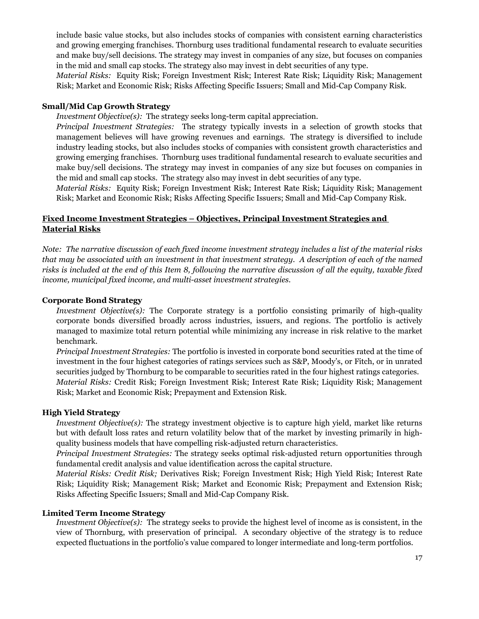include basic value stocks, but also includes stocks of companies with consistent earning characteristics and growing emerging franchises. Thornburg uses traditional fundamental research to evaluate securities and make buy/sell decisions. The strategy may invest in companies of any size, but focuses on companies in the mid and small cap stocks. The strategy also may invest in debt securities of any type.

*Material Risks:*Equity Risk; Foreign Investment Risk; Interest Rate Risk; Liquidity Risk; Management Risk; Market and Economic Risk; Risks Affecting Specific Issuers; Small and Mid-Cap Company Risk.

#### **Small/Mid Cap Growth Strategy**

*Investment Objective(s)*: The strategy seeks long-term capital appreciation.

*Principal Investment Strategies:* The strategy typically invests in a selection of growth stocks that management believes will have growing revenues and earnings. The strategy is diversified to include industry leading stocks, but also includes stocks of companies with consistent growth characteristics and growing emerging franchises. Thornburg uses traditional fundamental research to evaluate securities and make buy/sell decisions. The strategy may invest in companies of any size but focuses on companies in the mid and small cap stocks. The strategy also may invest in debt securities of any type.

*Material Risks:*Equity Risk; Foreign Investment Risk; Interest Rate Risk; Liquidity Risk; Management Risk; Market and Economic Risk; Risks Affecting Specific Issuers; Small and Mid-Cap Company Risk.

#### **Fixed Income Investment Strategies – Objectives, Principal Investment Strategies and Material Risks**

*Note: The narrative discussion of each fixed income investment strategy includes a list of the material risks that may be associated with an investment in that investment strategy. A description of each of the named risks is included at the end of this Item 8, following the narrative discussion of all the equity, taxable fixed income, municipal fixed income, and multi-asset investment strategies.*

#### **Corporate Bond Strategy**

*Investment Objective(s)*: The Corporate strategy is a portfolio consisting primarily of high-quality corporate bonds diversified broadly across industries, issuers, and regions. The portfolio is actively managed to maximize total return potential while minimizing any increase in risk relative to the market benchmark.

*Principal Investment Strategies:* The portfolio is invested in corporate bond securities rated at the time of investment in the four highest categories of ratings services such as S&P, Moody's, or Fitch, or in unrated securities judged by Thornburg to be comparable to securities rated in the four highest ratings categories. *Material Risks:* Credit Risk; Foreign Investment Risk; Interest Rate Risk; Liquidity Risk; Management Risk; Market and Economic Risk; Prepayment and Extension Risk.

#### **High Yield Strategy**

*Investment Objective(s)*: The strategy investment objective is to capture high yield, market like returns but with default loss rates and return volatility below that of the market by investing primarily in highquality business models that have compelling risk-adjusted return characteristics.

*Principal Investment Strategies:* The strategy seeks optimal risk-adjusted return opportunities through fundamental credit analysis and value identification across the capital structure.

*Material Risks: Credit Risk;* Derivatives Risk; Foreign Investment Risk; High Yield Risk; Interest Rate Risk; Liquidity Risk; Management Risk; Market and Economic Risk; Prepayment and Extension Risk; Risks Affecting Specific Issuers; Small and Mid-Cap Company Risk.

#### **Limited Term Income Strategy**

*Investment Objective(s):* The strategy seeks to provide the highest level of income as is consistent, in the view of Thornburg, with preservation of principal. A secondary objective of the strategy is to reduce expected fluctuations in the portfolio's value compared to longer intermediate and long-term portfolios.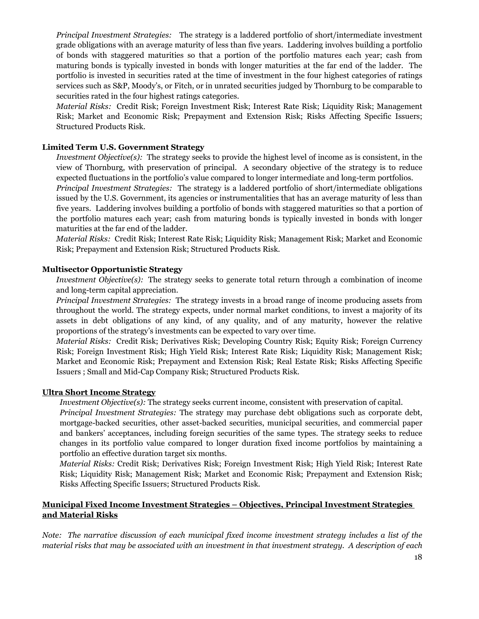*Principal Investment Strategies:* The strategy is a laddered portfolio of short/intermediate investment grade obligations with an average maturity of less than five years. Laddering involves building a portfolio of bonds with staggered maturities so that a portion of the portfolio matures each year; cash from maturing bonds is typically invested in bonds with longer maturities at the far end of the ladder. The portfolio is invested in securities rated at the time of investment in the four highest categories of ratings services such as S&P, Moody's, or Fitch, or in unrated securities judged by Thornburg to be comparable to securities rated in the four highest ratings categories.

*Material Risks:* Credit Risk; Foreign Investment Risk; Interest Rate Risk; Liquidity Risk; Management Risk; Market and Economic Risk; Prepayment and Extension Risk; Risks Affecting Specific Issuers; Structured Products Risk.

#### **Limited Term U.S. Government Strategy**

*Investment Objective(s):* The strategy seeks to provide the highest level of income as is consistent, in the view of Thornburg, with preservation of principal. A secondary objective of the strategy is to reduce expected fluctuations in the portfolio's value compared to longer intermediate and long-term portfolios. *Principal Investment Strategies:* The strategy is a laddered portfolio of short/intermediate obligations issued by the U.S. Government, its agencies or instrumentalities that has an average maturity of less than five years. Laddering involves building a portfolio of bonds with staggered maturities so that a portion of

the portfolio matures each year; cash from maturing bonds is typically invested in bonds with longer maturities at the far end of the ladder.

*Material Risks:* Credit Risk; Interest Rate Risk; Liquidity Risk; Management Risk; Market and Economic Risk; Prepayment and Extension Risk; Structured Products Risk.

#### **Multisector Opportunistic Strategy**

*Investment Objective(s):* The strategy seeks to generate total return through a combination of income and long-term capital appreciation.

*Principal Investment Strategies:* The strategy invests in a broad range of income producing assets from throughout the world. The strategy expects, under normal market conditions, to invest a majority of its assets in debt obligations of any kind, of any quality, and of any maturity, however the relative proportions of the strategy's investments can be expected to vary over time.

*Material Risks:* Credit Risk; Derivatives Risk; Developing Country Risk; Equity Risk; Foreign Currency Risk; Foreign Investment Risk; High Yield Risk; Interest Rate Risk; Liquidity Risk; Management Risk; Market and Economic Risk; Prepayment and Extension Risk; Real Estate Risk; Risks Affecting Specific Issuers ; Small and Mid-Cap Company Risk; Structured Products Risk.

#### **Ultra Short Income Strategy**

*Investment Objective(s):* The strategy seeks current income, consistent with preservation of capital.

*Principal Investment Strategies:* The strategy may purchase debt obligations such as corporate debt, mortgage-backed securities, other asset-backed securities, municipal securities, and commercial paper and bankers' acceptances, including foreign securities of the same types. The strategy seeks to reduce changes in its portfolio value compared to longer duration fixed income portfolios by maintaining a portfolio an effective duration target six months.

*Material Risks:* Credit Risk; Derivatives Risk; Foreign Investment Risk; High Yield Risk; Interest Rate Risk; Liquidity Risk; Management Risk; Market and Economic Risk; Prepayment and Extension Risk; Risks Affecting Specific Issuers; Structured Products Risk.

#### **Municipal Fixed Income Investment Strategies – Objectives, Principal Investment Strategies and Material Risks**

*Note: The narrative discussion of each municipal fixed income investment strategy includes a list of the material risks that may be associated with an investment in that investment strategy. A description of each*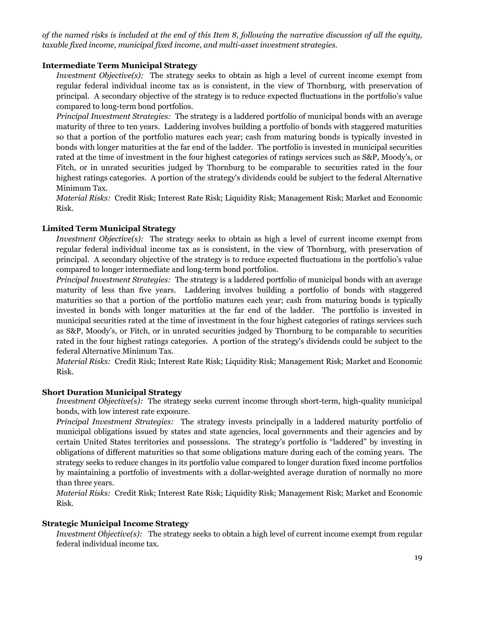*of the named risks is included at the end of this Item 8, following the narrative discussion of all the equity, taxable fixed income, municipal fixed income, and multi-asset investment strategies.*

#### **Intermediate Term Municipal Strategy**

*Investment Objective(s)*: The strategy seeks to obtain as high a level of current income exempt from regular federal individual income tax as is consistent, in the view of Thornburg, with preservation of principal. A secondary objective of the strategy is to reduce expected fluctuations in the portfolio's value compared to long-term bond portfolios.

*Principal Investment Strategies:* The strategy is a laddered portfolio of municipal bonds with an average maturity of three to ten years. Laddering involves building a portfolio of bonds with staggered maturities so that a portion of the portfolio matures each year; cash from maturing bonds is typically invested in bonds with longer maturities at the far end of the ladder. The portfolio is invested in municipal securities rated at the time of investment in the four highest categories of ratings services such as S&P, Moody's, or Fitch, or in unrated securities judged by Thornburg to be comparable to securities rated in the four highest ratings categories. A portion of the strategy's dividends could be subject to the federal Alternative Minimum Tax.

*Material Risks:* Credit Risk; Interest Rate Risk; Liquidity Risk; Management Risk; Market and Economic Risk.

#### **Limited Term Municipal Strategy**

*Investment Objective(s):* The strategy seeks to obtain as high a level of current income exempt from regular federal individual income tax as is consistent, in the view of Thornburg, with preservation of principal. A secondary objective of the strategy is to reduce expected fluctuations in the portfolio's value compared to longer intermediate and long-term bond portfolios.

*Principal Investment Strategies:* The strategy is a laddered portfolio of municipal bonds with an average maturity of less than five years. Laddering involves building a portfolio of bonds with staggered maturities so that a portion of the portfolio matures each year; cash from maturing bonds is typically invested in bonds with longer maturities at the far end of the ladder. The portfolio is invested in municipal securities rated at the time of investment in the four highest categories of ratings services such as S&P, Moody's, or Fitch, or in unrated securities judged by Thornburg to be comparable to securities rated in the four highest ratings categories. A portion of the strategy's dividends could be subject to the federal Alternative Minimum Tax.

*Material Risks:* Credit Risk; Interest Rate Risk; Liquidity Risk; Management Risk; Market and Economic Risk.

#### **Short Duration Municipal Strategy**

*Investment Objective(s):* The strategy seeks current income through short-term, high-quality municipal bonds, with low interest rate exposure.

*Principal Investment Strategies:* The strategy invests principally in a laddered maturity portfolio of municipal obligations issued by states and state agencies, local governments and their agencies and by certain United States territories and possessions. The strategy's portfolio is "laddered" by investing in obligations of different maturities so that some obligations mature during each of the coming years. The strategy seeks to reduce changes in its portfolio value compared to longer duration fixed income portfolios by maintaining a portfolio of investments with a dollar-weighted average duration of normally no more than three years.

*Material Risks:* Credit Risk; Interest Rate Risk; Liquidity Risk; Management Risk; Market and Economic Risk.

#### **Strategic Municipal Income Strategy**

*Investment Objective(s):* The strategy seeks to obtain a high level of current income exempt from regular federal individual income tax.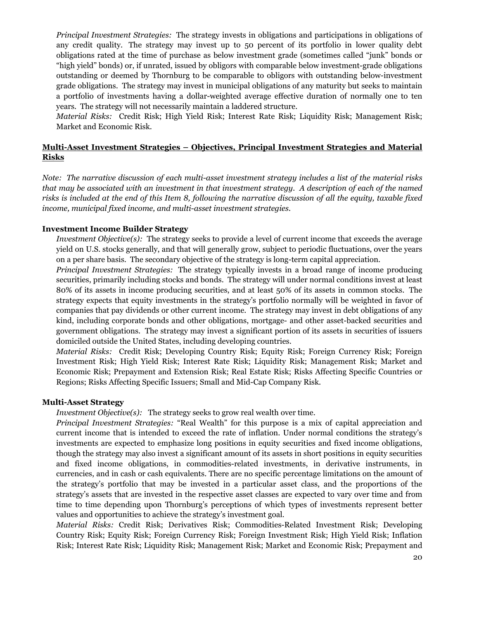*Principal Investment Strategies:* The strategy invests in obligations and participations in obligations of any credit quality. The strategy may invest up to 50 percent of its portfolio in lower quality debt obligations rated at the time of purchase as below investment grade (sometimes called "junk" bonds or "high yield" bonds) or, if unrated, issued by obligors with comparable below investment-grade obligations outstanding or deemed by Thornburg to be comparable to obligors with outstanding below-investment grade obligations. The strategy may invest in municipal obligations of any maturity but seeks to maintain a portfolio of investments having a dollar-weighted average effective duration of normally one to ten years. The strategy will not necessarily maintain a laddered structure.

*Material Risks:* Credit Risk; High Yield Risk; Interest Rate Risk; Liquidity Risk; Management Risk; Market and Economic Risk.

#### **Multi-Asset Investment Strategies – Objectives, Principal Investment Strategies and Material Risks**

*Note: The narrative discussion of each multi-asset investment strategy includes a list of the material risks that may be associated with an investment in that investment strategy. A description of each of the named risks is included at the end of this Item 8, following the narrative discussion of all the equity, taxable fixed income, municipal fixed income, and multi-asset investment strategies.*

#### **Investment Income Builder Strategy**

*Investment Objective(s):* The strategy seeks to provide a level of current income that exceeds the average yield on U.S. stocks generally, and that will generally grow, subject to periodic fluctuations, over the years on a per share basis. The secondary objective of the strategy is long-term capital appreciation.

*Principal Investment Strategies:* The strategy typically invests in a broad range of income producing securities, primarily including stocks and bonds. The strategy will under normal conditions invest at least 80% of its assets in income producing securities, and at least 50% of its assets in common stocks. The strategy expects that equity investments in the strategy's portfolio normally will be weighted in favor of companies that pay dividends or other current income. The strategy may invest in debt obligations of any kind, including corporate bonds and other obligations, mortgage- and other asset-backed securities and government obligations. The strategy may invest a significant portion of its assets in securities of issuers domiciled outside the United States, including developing countries.

*Material Risks:* Credit Risk; Developing Country Risk; Equity Risk; Foreign Currency Risk; Foreign Investment Risk; High Yield Risk; Interest Rate Risk; Liquidity Risk; Management Risk; Market and Economic Risk; Prepayment and Extension Risk; Real Estate Risk; Risks Affecting Specific Countries or Regions; Risks Affecting Specific Issuers; Small and Mid-Cap Company Risk.

#### **Multi-Asset Strategy**

*Investment Objective(s):* The strategy seeks to grow real wealth over time.

*Principal Investment Strategies:* "Real Wealth" for this purpose is a mix of capital appreciation and current income that is intended to exceed the rate of inflation. Under normal conditions the strategy's investments are expected to emphasize long positions in equity securities and fixed income obligations, though the strategy may also invest a significant amount of its assets in short positions in equity securities and fixed income obligations, in commodities-related investments, in derivative instruments, in currencies, and in cash or cash equivalents. There are no specific percentage limitations on the amount of the strategy's portfolio that may be invested in a particular asset class, and the proportions of the strategy's assets that are invested in the respective asset classes are expected to vary over time and from time to time depending upon Thornburg's perceptions of which types of investments represent better values and opportunities to achieve the strategy's investment goal.

*Material Risks:* Credit Risk; Derivatives Risk; Commodities-Related Investment Risk; Developing Country Risk; Equity Risk; Foreign Currency Risk; Foreign Investment Risk; High Yield Risk; Inflation Risk; Interest Rate Risk; Liquidity Risk; Management Risk; Market and Economic Risk; Prepayment and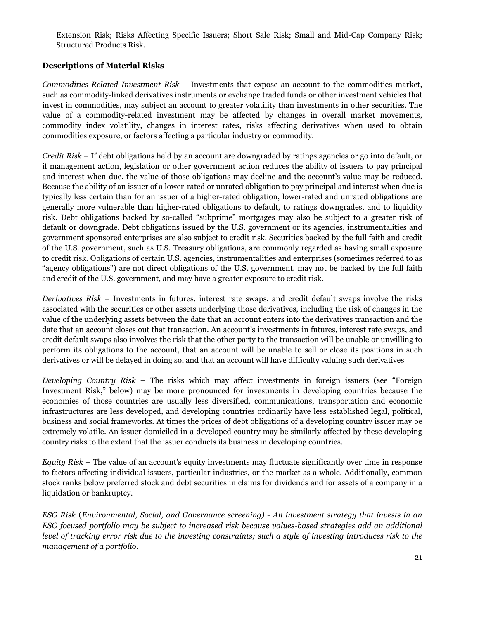Extension Risk; Risks Affecting Specific Issuers; Short Sale Risk; Small and Mid-Cap Company Risk; Structured Products Risk.

#### **Descriptions of Material Risks**

*Commodities-Related Investment Risk* – Investments that expose an account to the commodities market, such as commodity-linked derivatives instruments or exchange traded funds or other investment vehicles that invest in commodities, may subject an account to greater volatility than investments in other securities. The value of a commodity-related investment may be affected by changes in overall market movements, commodity index volatility, changes in interest rates, risks affecting derivatives when used to obtain commodities exposure, or factors affecting a particular industry or commodity.

*Credit Risk* – If debt obligations held by an account are downgraded by ratings agencies or go into default, or if management action, legislation or other government action reduces the ability of issuers to pay principal and interest when due, the value of those obligations may decline and the account's value may be reduced. Because the ability of an issuer of a lower-rated or unrated obligation to pay principal and interest when due is typically less certain than for an issuer of a higher-rated obligation, lower-rated and unrated obligations are generally more vulnerable than higher-rated obligations to default, to ratings downgrades, and to liquidity risk. Debt obligations backed by so-called "subprime" mortgages may also be subject to a greater risk of default or downgrade. Debt obligations issued by the U.S. government or its agencies, instrumentalities and government sponsored enterprises are also subject to credit risk. Securities backed by the full faith and credit of the U.S. government, such as U.S. Treasury obligations, are commonly regarded as having small exposure to credit risk. Obligations of certain U.S. agencies, instrumentalities and enterprises (sometimes referred to as "agency obligations") are not direct obligations of the U.S. government, may not be backed by the full faith and credit of the U.S. government, and may have a greater exposure to credit risk.

*Derivatives Risk* – Investments in futures, interest rate swaps, and credit default swaps involve the risks associated with the securities or other assets underlying those derivatives, including the risk of changes in the value of the underlying assets between the date that an account enters into the derivatives transaction and the date that an account closes out that transaction. An account's investments in futures, interest rate swaps, and credit default swaps also involves the risk that the other party to the transaction will be unable or unwilling to perform its obligations to the account, that an account will be unable to sell or close its positions in such derivatives or will be delayed in doing so, and that an account will have difficulty valuing such derivatives

*Developing Country Risk* – The risks which may affect investments in foreign issuers (see "Foreign Investment Risk," below) may be more pronounced for investments in developing countries because the economies of those countries are usually less diversified, communications, transportation and economic infrastructures are less developed, and developing countries ordinarily have less established legal, political, business and social frameworks. At times the prices of debt obligations of a developing country issuer may be extremely volatile. An issuer domiciled in a developed country may be similarly affected by these developing country risks to the extent that the issuer conducts its business in developing countries.

*Equity Risk* – The value of an account's equity investments may fluctuate significantly over time in response to factors affecting individual issuers, particular industries, or the market as a whole. Additionally, common stock ranks below preferred stock and debt securities in claims for dividends and for assets of a company in a liquidation or bankruptcy.

*ESG Risk* (*Environmental, Social, and Governance screening) - An investment strategy that invests in an ESG focused portfolio may be subject to increased risk because values-based strategies add an additional level of tracking error risk due to the investing constraints; such a style of investing introduces risk to the management of a portfolio.*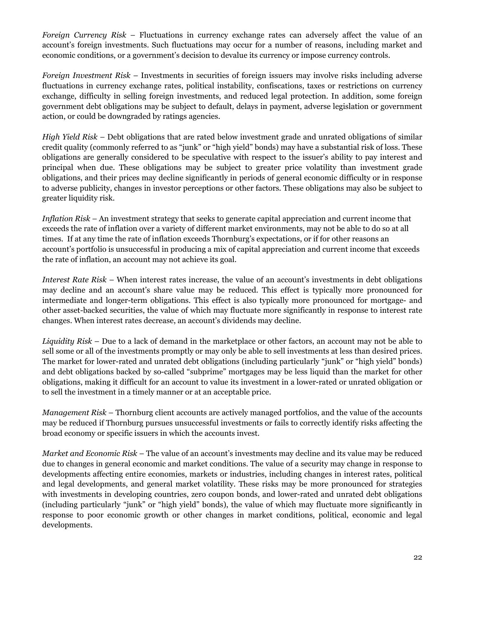*Foreign Currency Risk* – Fluctuations in currency exchange rates can adversely affect the value of an account's foreign investments. Such fluctuations may occur for a number of reasons, including market and economic conditions, or a government's decision to devalue its currency or impose currency controls.

*Foreign Investment Risk* – Investments in securities of foreign issuers may involve risks including adverse fluctuations in currency exchange rates, political instability, confiscations, taxes or restrictions on currency exchange, difficulty in selling foreign investments, and reduced legal protection. In addition, some foreign government debt obligations may be subject to default, delays in payment, adverse legislation or government action, or could be downgraded by ratings agencies.

*High Yield Risk –* Debt obligations that are rated below investment grade and unrated obligations of similar credit quality (commonly referred to as "junk" or "high yield" bonds) may have a substantial risk of loss. These obligations are generally considered to be speculative with respect to the issuer's ability to pay interest and principal when due. These obligations may be subject to greater price volatility than investment grade obligations, and their prices may decline significantly in periods of general economic difficulty or in response to adverse publicity, changes in investor perceptions or other factors. These obligations may also be subject to greater liquidity risk.

*Inflation Risk* – An investment strategy that seeks to generate capital appreciation and current income that exceeds the rate of inflation over a variety of different market environments, may not be able to do so at all times. If at any time the rate of inflation exceeds Thornburg's expectations, or if for other reasons an account's portfolio is unsuccessful in producing a mix of capital appreciation and current income that exceeds the rate of inflation, an account may not achieve its goal.

*Interest Rate Risk* – When interest rates increase, the value of an account's investments in debt obligations may decline and an account's share value may be reduced. This effect is typically more pronounced for intermediate and longer-term obligations. This effect is also typically more pronounced for mortgage- and other asset-backed securities, the value of which may fluctuate more significantly in response to interest rate changes. When interest rates decrease, an account's dividends may decline.

*Liquidity Risk* – Due to a lack of demand in the marketplace or other factors, an account may not be able to sell some or all of the investments promptly or may only be able to sell investments at less than desired prices. The market for lower-rated and unrated debt obligations (including particularly "junk" or "high yield" bonds) and debt obligations backed by so-called "subprime" mortgages may be less liquid than the market for other obligations, making it difficult for an account to value its investment in a lower-rated or unrated obligation or to sell the investment in a timely manner or at an acceptable price.

*Management Risk* – Thornburg client accounts are actively managed portfolios, and the value of the accounts may be reduced if Thornburg pursues unsuccessful investments or fails to correctly identify risks affecting the broad economy or specific issuers in which the accounts invest.

*Market and Economic Risk* – The value of an account's investments may decline and its value may be reduced due to changes in general economic and market conditions. The value of a security may change in response to developments affecting entire economies, markets or industries, including changes in interest rates, political and legal developments, and general market volatility. These risks may be more pronounced for strategies with investments in developing countries, zero coupon bonds, and lower-rated and unrated debt obligations (including particularly "junk" or "high yield" bonds), the value of which may fluctuate more significantly in response to poor economic growth or other changes in market conditions, political, economic and legal developments.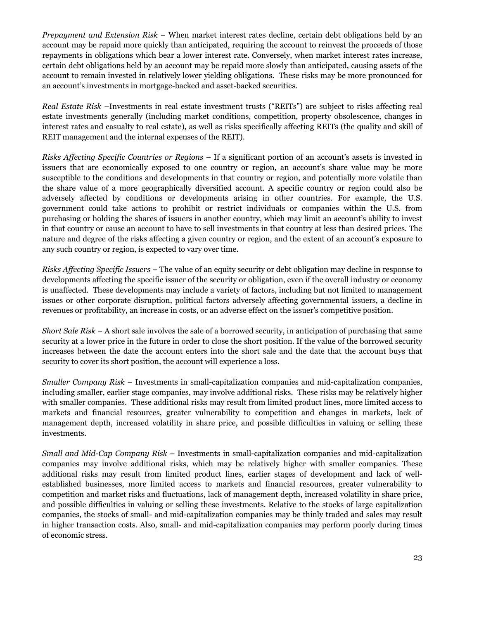*Prepayment and Extension Risk* – When market interest rates decline, certain debt obligations held by an account may be repaid more quickly than anticipated, requiring the account to reinvest the proceeds of those repayments in obligations which bear a lower interest rate. Conversely, when market interest rates increase, certain debt obligations held by an account may be repaid more slowly than anticipated, causing assets of the account to remain invested in relatively lower yielding obligations. These risks may be more pronounced for an account's investments in mortgage-backed and asset-backed securities.

*Real Estate Risk* –Investments in real estate investment trusts ("REITs") are subject to risks affecting real estate investments generally (including market conditions, competition, property obsolescence, changes in interest rates and casualty to real estate), as well as risks specifically affecting REITs (the quality and skill of REIT management and the internal expenses of the REIT).

*Risks Affecting Specific Countries or Regions* – If a significant portion of an account's assets is invested in issuers that are economically exposed to one country or region, an account's share value may be more susceptible to the conditions and developments in that country or region, and potentially more volatile than the share value of a more geographically diversified account. A specific country or region could also be adversely affected by conditions or developments arising in other countries. For example, the U.S. government could take actions to prohibit or restrict individuals or companies within the U.S. from purchasing or holding the shares of issuers in another country, which may limit an account's ability to invest in that country or cause an account to have to sell investments in that country at less than desired prices. The nature and degree of the risks affecting a given country or region, and the extent of an account's exposure to any such country or region, is expected to vary over time.

*Risks Affecting Specific Issuers* – The value of an equity security or debt obligation may decline in response to developments affecting the specific issuer of the security or obligation, even if the overall industry or economy is unaffected. These developments may include a variety of factors, including but not limited to management issues or other corporate disruption, political factors adversely affecting governmental issuers, a decline in revenues or profitability, an increase in costs, or an adverse effect on the issuer's competitive position.

*Short Sale Risk* – A short sale involves the sale of a borrowed security, in anticipation of purchasing that same security at a lower price in the future in order to close the short position. If the value of the borrowed security increases between the date the account enters into the short sale and the date that the account buys that security to cover its short position, the account will experience a loss.

*Smaller Company Risk* – Investments in small-capitalization companies and mid-capitalization companies, including smaller, earlier stage companies, may involve additional risks. These risks may be relatively higher with smaller companies. These additional risks may result from limited product lines, more limited access to markets and financial resources, greater vulnerability to competition and changes in markets, lack of management depth, increased volatility in share price, and possible difficulties in valuing or selling these investments.

*Small and Mid-Cap Company Risk* – Investments in small-capitalization companies and mid-capitalization companies may involve additional risks, which may be relatively higher with smaller companies. These additional risks may result from limited product lines, earlier stages of development and lack of wellestablished businesses, more limited access to markets and financial resources, greater vulnerability to competition and market risks and fluctuations, lack of management depth, increased volatility in share price, and possible difficulties in valuing or selling these investments. Relative to the stocks of large capitalization companies, the stocks of small- and mid-capitalization companies may be thinly traded and sales may result in higher transaction costs. Also, small- and mid-capitalization companies may perform poorly during times of economic stress.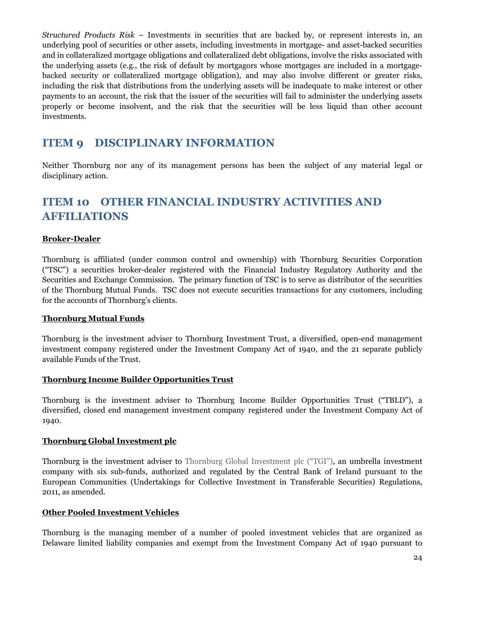*Structured Products Risk* – Investments in securities that are backed by, or represent interests in, an underlying pool of securities or other assets, including investments in mortgage- and asset-backed securities and in collateralized mortgage obligations and collateralized debt obligations, involve the risks associated with the underlying assets (e.g., the risk of default by mortgagors whose mortgages are included in a mortgagebacked security or collateralized mortgage obligation), and may also involve different or greater risks, including the risk that distributions from the underlying assets will be inadequate to make interest or other payments to an account, the risk that the issuer of the securities will fail to administer the underlying assets properly or become insolvent, and the risk that the securities will be less liquid than other account investments.

### **ITEM 9 DISCIPLINARY INFORMATION**

Neither Thornburg nor any of its management persons has been the subject of any material legal or disciplinary action.

### **ITEM 10 OTHER FINANCIAL INDUSTRY ACTIVITIES AND AFFILIATIONS**

#### **Broker-Dealer**

Thornburg is affiliated (under common control and ownership) with Thornburg Securities Corporation ("TSC") a securities broker-dealer registered with the Financial Industry Regulatory Authority and the Securities and Exchange Commission. The primary function of TSC is to serve as distributor of the securities of the Thornburg Mutual Funds. TSC does not execute securities transactions for any customers, including for the accounts of Thornburg's clients.

#### **Thornburg Mutual Funds**

Thornburg is the investment adviser to Thornburg Investment Trust, a diversified, open-end management investment company registered under the Investment Company Act of 1940, and the 21 separate publicly available Funds of the Trust.

#### **Thornburg Income Builder Opportunities Trust**

Thornburg is the investment adviser to Thornburg Income Builder Opportunities Trust ("TBLD"), a diversified, closed end management investment company registered under the Investment Company Act of 1940.

#### **Thornburg Global Investment plc**

Thornburg is the investment adviser to Thornburg Global Investment plc ("TGI"), an umbrella investment company with six sub-funds, authorized and regulated by the Central Bank of Ireland pursuant to the European Communities (Undertakings for Collective Investment in Transferable Securities) Regulations, 2011, as amended.

#### **Other Pooled Investment Vehicles**

Thornburg is the managing member of a number of pooled investment vehicles that are organized as Delaware limited liability companies and exempt from the Investment Company Act of 1940 pursuant to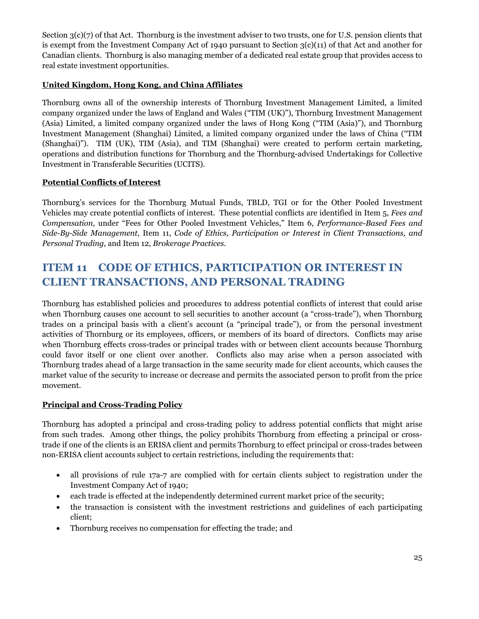Section  $3(c)(7)$  of that Act. Thornburg is the investment adviser to two trusts, one for U.S. pension clients that is exempt from the Investment Company Act of 1940 pursuant to Section 3(c)(11) of that Act and another for Canadian clients. Thornburg is also managing member of a dedicated real estate group that provides access to real estate investment opportunities.

#### **United Kingdom, Hong Kong, and China Affiliates**

Thornburg owns all of the ownership interests of Thornburg Investment Management Limited, a limited company organized under the laws of England and Wales ("TIM (UK)"), Thornburg Investment Management (Asia) Limited, a limited company organized under the laws of Hong Kong ("TIM (Asia)"), and Thornburg Investment Management (Shanghai) Limited, a limited company organized under the laws of China ("TIM (Shanghai)"). TIM (UK), TIM (Asia), and TIM (Shanghai) were created to perform certain marketing, operations and distribution functions for Thornburg and the Thornburg-advised Undertakings for Collective Investment in Transferable Securities (UCITS).

#### **Potential Conflicts of Interest**

Thornburg's services for the Thornburg Mutual Funds, TBLD, TGI or for the Other Pooled Investment Vehicles may create potential conflicts of interest. These potential conflicts are identified in Item 5, *Fees and Compensation,* under "Fees for Other Pooled Investment Vehicles," Item 6, *Performance-Based Fees and Side-By-Side Management*, Item 11, *Code of Ethics, Participation or Interest in Client Transactions, and Personal Trading*, and Item 12, *Brokerage Practices*.

### **ITEM 11 CODE OF ETHICS, PARTICIPATION OR INTEREST IN CLIENT TRANSACTIONS, AND PERSONAL TRADING**

Thornburg has established policies and procedures to address potential conflicts of interest that could arise when Thornburg causes one account to sell securities to another account (a "cross-trade"), when Thornburg trades on a principal basis with a client's account (a "principal trade"), or from the personal investment activities of Thornburg or its employees, officers, or members of its board of directors. Conflicts may arise when Thornburg effects cross-trades or principal trades with or between client accounts because Thornburg could favor itself or one client over another. Conflicts also may arise when a person associated with Thornburg trades ahead of a large transaction in the same security made for client accounts, which causes the market value of the security to increase or decrease and permits the associated person to profit from the price movement.

#### **Principal and Cross-Trading Policy**

Thornburg has adopted a principal and cross-trading policy to address potential conflicts that might arise from such trades. Among other things, the policy prohibits Thornburg from effecting a principal or crosstrade if one of the clients is an ERISA client and permits Thornburg to effect principal or cross-trades between non-ERISA client accounts subject to certain restrictions, including the requirements that:

- all provisions of rule 17a-7 are complied with for certain clients subject to registration under the Investment Company Act of 1940;
- each trade is effected at the independently determined current market price of the security;
- the transaction is consistent with the investment restrictions and guidelines of each participating client;
- Thornburg receives no compensation for effecting the trade; and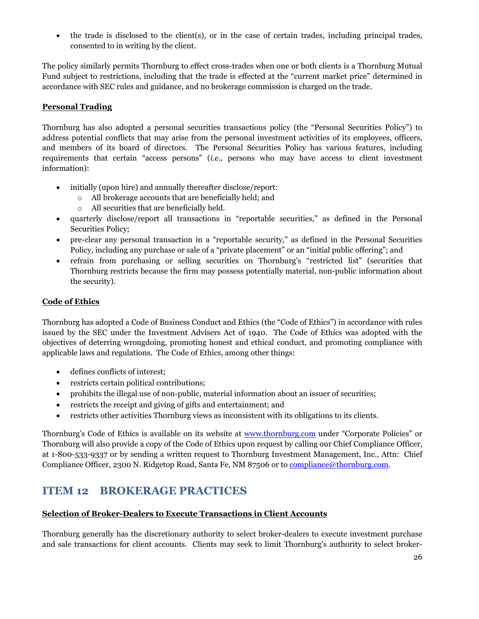• the trade is disclosed to the client(s), or in the case of certain trades, including principal trades, consented to in writing by the client.

The policy similarly permits Thornburg to effect cross-trades when one or both clients is a Thornburg Mutual Fund subject to restrictions, including that the trade is effected at the "current market price" determined in accordance with SEC rules and guidance, and no brokerage commission is charged on the trade.

#### **Personal Trading**

Thornburg has also adopted a personal securities transactions policy (the "Personal Securities Policy") to address potential conflicts that may arise from the personal investment activities of its employees, officers, and members of its board of directors. The Personal Securities Policy has various features, including requirements that certain "access persons" (*i.e.,* persons who may have access to client investment information):

- initially (upon hire) and annually thereafter disclose/report:
	- o All brokerage accounts that are beneficially held; and
	- o All securities that are beneficially held.
- quarterly disclose/report all transactions in "reportable securities," as defined in the Personal Securities Policy;
- pre-clear any personal transaction in a "reportable security," as defined in the Personal Securities Policy, including any purchase or sale of a "private placement" or an "initial public offering"; and
- refrain from purchasing or selling securities on Thornburg's "restricted list" (securities that Thornburg restricts because the firm may possess potentially material, non-public information about the security).

#### **Code of Ethics**

Thornburg has adopted a Code of Business Conduct and Ethics (the "Code of Ethics") in accordance with rules issued by the SEC under the Investment Advisers Act of 1940. The Code of Ethics was adopted with the objectives of deterring wrongdoing, promoting honest and ethical conduct, and promoting compliance with applicable laws and regulations. The Code of Ethics, among other things:

- defines conflicts of interest;
- restricts certain political contributions;
- prohibits the illegal use of non-public, material information about an issuer of securities;
- restricts the receipt and giving of gifts and entertainment; and
- restricts other activities Thornburg views as inconsistent with its obligations to its clients.

Thornburg's Code of Ethics is available on its website at [www.thornburg.com](http://www.thornburg.com/) under "Corporate Policies" or Thornburg will also provide a copy of the Code of Ethics upon request by calling our Chief Compliance Officer, at 1-800-533-9337 or by sending a written request to Thornburg Investment Management, Inc., Attn: Chief Compliance Officer, 2300 N. Ridgetop Road, Santa Fe, NM 87506 or to [compliance@thornburg.com.](mailto:compliance@thornburg.com)

### **ITEM 12 BROKERAGE PRACTICES**

#### **Selection of Broker-Dealers to Execute Transactions in Client Accounts**

Thornburg generally has the discretionary authority to select broker-dealers to execute investment purchase and sale transactions for client accounts. Clients may seek to limit Thornburg's authority to select broker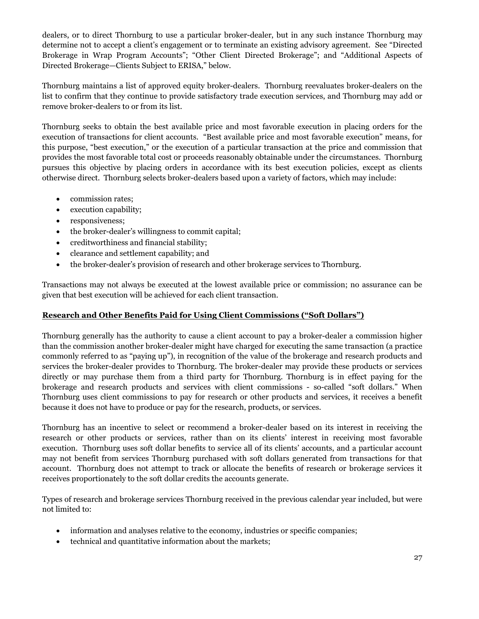dealers, or to direct Thornburg to use a particular broker-dealer, but in any such instance Thornburg may determine not to accept a client's engagement or to terminate an existing advisory agreement. See "Directed Brokerage in Wrap Program Accounts"; "Other Client Directed Brokerage"; and "Additional Aspects of Directed Brokerage—Clients Subject to ERISA," below.

Thornburg maintains a list of approved equity broker-dealers. Thornburg reevaluates broker-dealers on the list to confirm that they continue to provide satisfactory trade execution services, and Thornburg may add or remove broker-dealers to or from its list.

Thornburg seeks to obtain the best available price and most favorable execution in placing orders for the execution of transactions for client accounts. "Best available price and most favorable execution" means, for this purpose, "best execution," or the execution of a particular transaction at the price and commission that provides the most favorable total cost or proceeds reasonably obtainable under the circumstances. Thornburg pursues this objective by placing orders in accordance with its best execution policies, except as clients otherwise direct. Thornburg selects broker-dealers based upon a variety of factors, which may include:

- commission rates;
- execution capability;
- responsiveness;
- the broker-dealer's willingness to commit capital;
- creditworthiness and financial stability;
- clearance and settlement capability; and
- the broker-dealer's provision of research and other brokerage services to Thornburg.

Transactions may not always be executed at the lowest available price or commission; no assurance can be given that best execution will be achieved for each client transaction.

#### **Research and Other Benefits Paid for Using Client Commissions ("Soft Dollars")**

Thornburg generally has the authority to cause a client account to pay a broker-dealer a commission higher than the commission another broker-dealer might have charged for executing the same transaction (a practice commonly referred to as "paying up"), in recognition of the value of the brokerage and research products and services the broker-dealer provides to Thornburg. The broker-dealer may provide these products or services directly or may purchase them from a third party for Thornburg. Thornburg is in effect paying for the brokerage and research products and services with client commissions - so-called "soft dollars." When Thornburg uses client commissions to pay for research or other products and services, it receives a benefit because it does not have to produce or pay for the research, products, or services.

Thornburg has an incentive to select or recommend a broker-dealer based on its interest in receiving the research or other products or services, rather than on its clients' interest in receiving most favorable execution. Thornburg uses soft dollar benefits to service all of its clients' accounts, and a particular account may not benefit from services Thornburg purchased with soft dollars generated from transactions for that account. Thornburg does not attempt to track or allocate the benefits of research or brokerage services it receives proportionately to the soft dollar credits the accounts generate.

Types of research and brokerage services Thornburg received in the previous calendar year included, but were not limited to:

- information and analyses relative to the economy, industries or specific companies;
- technical and quantitative information about the markets;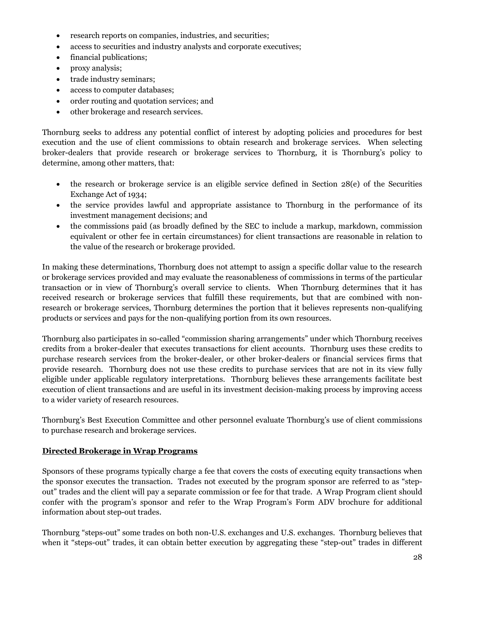- research reports on companies, industries, and securities;
- access to securities and industry analysts and corporate executives;
- financial publications;
- proxy analysis;
- trade industry seminars;
- access to computer databases;
- order routing and quotation services; and
- other brokerage and research services.

Thornburg seeks to address any potential conflict of interest by adopting policies and procedures for best execution and the use of client commissions to obtain research and brokerage services. When selecting broker-dealers that provide research or brokerage services to Thornburg, it is Thornburg's policy to determine, among other matters, that:

- the research or brokerage service is an eligible service defined in Section 28(e) of the Securities Exchange Act of 1934;
- the service provides lawful and appropriate assistance to Thornburg in the performance of its investment management decisions; and
- the commissions paid (as broadly defined by the SEC to include a markup, markdown, commission equivalent or other fee in certain circumstances) for client transactions are reasonable in relation to the value of the research or brokerage provided.

In making these determinations, Thornburg does not attempt to assign a specific dollar value to the research or brokerage services provided and may evaluate the reasonableness of commissions in terms of the particular transaction or in view of Thornburg's overall service to clients. When Thornburg determines that it has received research or brokerage services that fulfill these requirements, but that are combined with nonresearch or brokerage services, Thornburg determines the portion that it believes represents non-qualifying products or services and pays for the non-qualifying portion from its own resources.

Thornburg also participates in so-called "commission sharing arrangements" under which Thornburg receives credits from a broker-dealer that executes transactions for client accounts. Thornburg uses these credits to purchase research services from the broker-dealer, or other broker-dealers or financial services firms that provide research. Thornburg does not use these credits to purchase services that are not in its view fully eligible under applicable regulatory interpretations. Thornburg believes these arrangements facilitate best execution of client transactions and are useful in its investment decision-making process by improving access to a wider variety of research resources.

Thornburg's Best Execution Committee and other personnel evaluate Thornburg's use of client commissions to purchase research and brokerage services.

#### **Directed Brokerage in Wrap Programs**

Sponsors of these programs typically charge a fee that covers the costs of executing equity transactions when the sponsor executes the transaction. Trades not executed by the program sponsor are referred to as "stepout" trades and the client will pay a separate commission or fee for that trade. A Wrap Program client should confer with the program's sponsor and refer to the Wrap Program's Form ADV brochure for additional information about step-out trades.

Thornburg "steps-out" some trades on both non-U.S. exchanges and U.S. exchanges. Thornburg believes that when it "steps-out" trades, it can obtain better execution by aggregating these "step-out" trades in different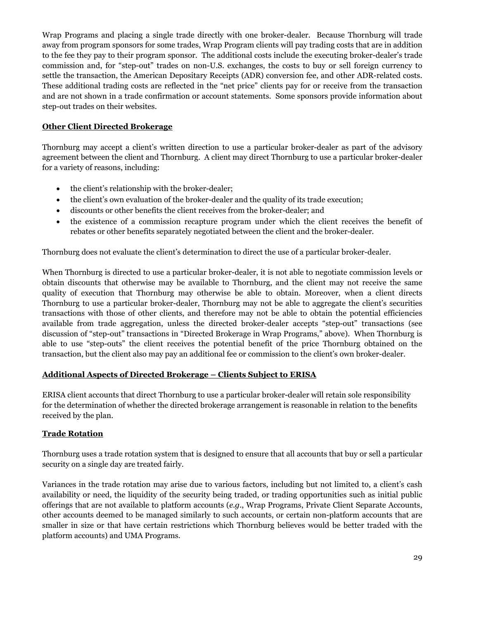Wrap Programs and placing a single trade directly with one broker-dealer. Because Thornburg will trade away from program sponsors for some trades, Wrap Program clients will pay trading costs that are in addition to the fee they pay to their program sponsor. The additional costs include the executing broker-dealer's trade commission and, for "step-out" trades on non-U.S. exchanges, the costs to buy or sell foreign currency to settle the transaction, the American Depositary Receipts (ADR) conversion fee, and other ADR-related costs. These additional trading costs are reflected in the "net price" clients pay for or receive from the transaction and are not shown in a trade confirmation or account statements. Some sponsors provide information about step-out trades on their websites.

#### **Other Client Directed Brokerage**

Thornburg may accept a client's written direction to use a particular broker-dealer as part of the advisory agreement between the client and Thornburg. A client may direct Thornburg to use a particular broker-dealer for a variety of reasons, including:

- the client's relationship with the broker-dealer;
- the client's own evaluation of the broker-dealer and the quality of its trade execution;
- discounts or other benefits the client receives from the broker-dealer; and
- the existence of a commission recapture program under which the client receives the benefit of rebates or other benefits separately negotiated between the client and the broker-dealer.

Thornburg does not evaluate the client's determination to direct the use of a particular broker-dealer.

When Thornburg is directed to use a particular broker-dealer, it is not able to negotiate commission levels or obtain discounts that otherwise may be available to Thornburg, and the client may not receive the same quality of execution that Thornburg may otherwise be able to obtain. Moreover, when a client directs Thornburg to use a particular broker-dealer, Thornburg may not be able to aggregate the client's securities transactions with those of other clients, and therefore may not be able to obtain the potential efficiencies available from trade aggregation, unless the directed broker-dealer accepts "step-out" transactions (see discussion of "step-out" transactions in "Directed Brokerage in Wrap Programs," above). When Thornburg is able to use "step-outs" the client receives the potential benefit of the price Thornburg obtained on the transaction, but the client also may pay an additional fee or commission to the client's own broker-dealer.

#### **Additional Aspects of Directed Brokerage – Clients Subject to ERISA**

ERISA client accounts that direct Thornburg to use a particular broker-dealer will retain sole responsibility for the determination of whether the directed brokerage arrangement is reasonable in relation to the benefits received by the plan.

#### **Trade Rotation**

Thornburg uses a trade rotation system that is designed to ensure that all accounts that buy or sell a particular security on a single day are treated fairly.

Variances in the trade rotation may arise due to various factors, including but not limited to, a client's cash availability or need, the liquidity of the security being traded, or trading opportunities such as initial public offerings that are not available to platform accounts (*e.g*., Wrap Programs, Private Client Separate Accounts, other accounts deemed to be managed similarly to such accounts, or certain non-platform accounts that are smaller in size or that have certain restrictions which Thornburg believes would be better traded with the platform accounts) and UMA Programs.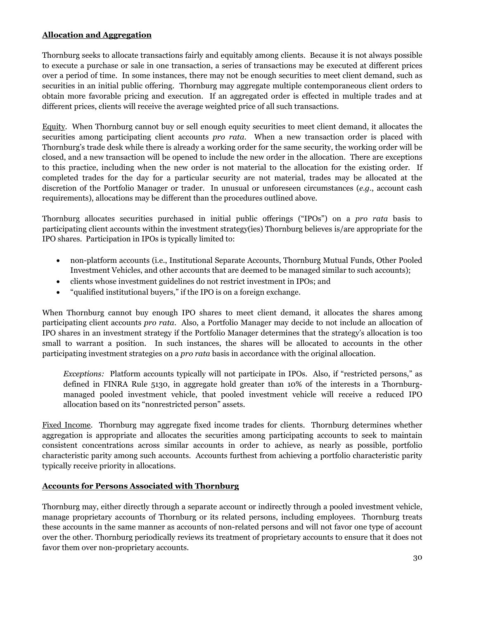#### **Allocation and Aggregation**

Thornburg seeks to allocate transactions fairly and equitably among clients. Because it is not always possible to execute a purchase or sale in one transaction, a series of transactions may be executed at different prices over a period of time. In some instances, there may not be enough securities to meet client demand, such as securities in an initial public offering. Thornburg may aggregate multiple contemporaneous client orders to obtain more favorable pricing and execution. If an aggregated order is effected in multiple trades and at different prices, clients will receive the average weighted price of all such transactions.

Equity. When Thornburg cannot buy or sell enough equity securities to meet client demand, it allocates the securities among participating client accounts *pro rata*. When a new transaction order is placed with Thornburg's trade desk while there is already a working order for the same security, the working order will be closed, and a new transaction will be opened to include the new order in the allocation. There are exceptions to this practice, including when the new order is not material to the allocation for the existing order. If completed trades for the day for a particular security are not material, trades may be allocated at the discretion of the Portfolio Manager or trader. In unusual or unforeseen circumstances (*e.g.*, account cash requirements), allocations may be different than the procedures outlined above.

Thornburg allocates securities purchased in initial public offerings ("IPOs") on a *pro rata* basis to participating client accounts within the investment strategy(ies) Thornburg believes is/are appropriate for the IPO shares. Participation in IPOs is typically limited to:

- non-platform accounts (i.e., Institutional Separate Accounts, Thornburg Mutual Funds, Other Pooled Investment Vehicles, and other accounts that are deemed to be managed similar to such accounts);
- clients whose investment guidelines do not restrict investment in IPOs; and
- "qualified institutional buyers," if the IPO is on a foreign exchange.

When Thornburg cannot buy enough IPO shares to meet client demand, it allocates the shares among participating client accounts *pro rata*. Also, a Portfolio Manager may decide to not include an allocation of IPO shares in an investment strategy if the Portfolio Manager determines that the strategy's allocation is too small to warrant a position. In such instances, the shares will be allocated to accounts in the other participating investment strategies on a *pro rata* basis in accordance with the original allocation.

*Exceptions:* Platform accounts typically will not participate in IPOs. Also, if "restricted persons," as defined in FINRA Rule 5130, in aggregate hold greater than 10% of the interests in a Thornburgmanaged pooled investment vehicle, that pooled investment vehicle will receive a reduced IPO allocation based on its "nonrestricted person" assets.

Fixed Income. Thornburg may aggregate fixed income trades for clients. Thornburg determines whether aggregation is appropriate and allocates the securities among participating accounts to seek to maintain consistent concentrations across similar accounts in order to achieve, as nearly as possible, portfolio characteristic parity among such accounts. Accounts furthest from achieving a portfolio characteristic parity typically receive priority in allocations.

#### **Accounts for Persons Associated with Thornburg**

Thornburg may, either directly through a separate account or indirectly through a pooled investment vehicle, manage proprietary accounts of Thornburg or its related persons, including employees. Thornburg treats these accounts in the same manner as accounts of non-related persons and will not favor one type of account over the other. Thornburg periodically reviews its treatment of proprietary accounts to ensure that it does not favor them over non-proprietary accounts.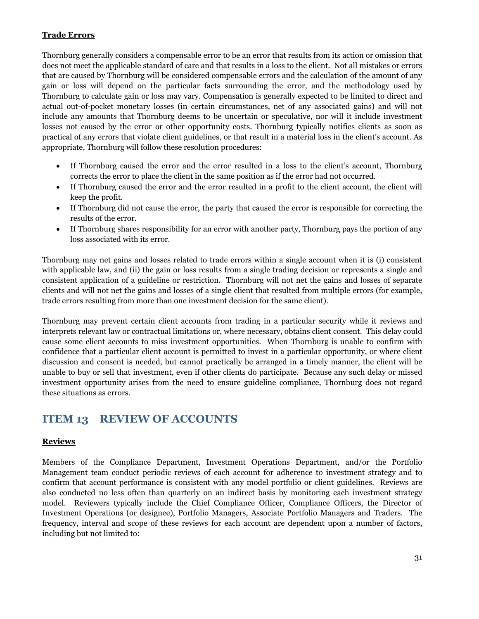#### **Trade Errors**

Thornburg generally considers a compensable error to be an error that results from its action or omission that does not meet the applicable standard of care and that results in a loss to the client. Not all mistakes or errors that are caused by Thornburg will be considered compensable errors and the calculation of the amount of any gain or loss will depend on the particular facts surrounding the error, and the methodology used by Thornburg to calculate gain or loss may vary. Compensation is generally expected to be limited to direct and actual out-of-pocket monetary losses (in certain circumstances, net of any associated gains) and will not include any amounts that Thornburg deems to be uncertain or speculative, nor will it include investment losses not caused by the error or other opportunity costs. Thornburg typically notifies clients as soon as practical of any errors that violate client guidelines, or that result in a material loss in the client's account. As appropriate, Thornburg will follow these resolution procedures:

- If Thornburg caused the error and the error resulted in a loss to the client's account, Thornburg corrects the error to place the client in the same position as if the error had not occurred.
- If Thornburg caused the error and the error resulted in a profit to the client account, the client will keep the profit.
- If Thornburg did not cause the error, the party that caused the error is responsible for correcting the results of the error.
- If Thornburg shares responsibility for an error with another party, Thornburg pays the portion of any loss associated with its error.

Thornburg may net gains and losses related to trade errors within a single account when it is (i) consistent with applicable law, and (ii) the gain or loss results from a single trading decision or represents a single and consistent application of a guideline or restriction. Thornburg will not net the gains and losses of separate clients and will not net the gains and losses of a single client that resulted from multiple errors (for example, trade errors resulting from more than one investment decision for the same client).

Thornburg may prevent certain client accounts from trading in a particular security while it reviews and interprets relevant law or contractual limitations or, where necessary, obtains client consent. This delay could cause some client accounts to miss investment opportunities. When Thornburg is unable to confirm with confidence that a particular client account is permitted to invest in a particular opportunity, or where client discussion and consent is needed, but cannot practically be arranged in a timely manner, the client will be unable to buy or sell that investment, even if other clients do participate. Because any such delay or missed investment opportunity arises from the need to ensure guideline compliance, Thornburg does not regard these situations as errors.

### **ITEM 13 REVIEW OF ACCOUNTS**

#### **Reviews**

Members of the Compliance Department, Investment Operations Department, and/or the Portfolio Management team conduct periodic reviews of each account for adherence to investment strategy and to confirm that account performance is consistent with any model portfolio or client guidelines. Reviews are also conducted no less often than quarterly on an indirect basis by monitoring each investment strategy model. Reviewers typically include the Chief Compliance Officer, Compliance Officers, the Director of Investment Operations (or designee), Portfolio Managers, Associate Portfolio Managers and Traders. The frequency, interval and scope of these reviews for each account are dependent upon a number of factors, including but not limited to: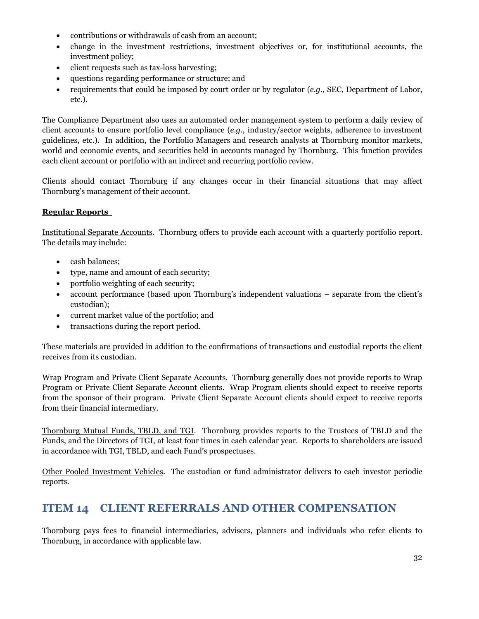- contributions or withdrawals of cash from an account;
- change in the investment restrictions, investment objectives or, for institutional accounts, the investment policy;
- client requests such as tax-loss harvesting;
- questions regarding performance or structure; and
- requirements that could be imposed by court order or by regulator (*e.g.,* SEC, Department of Labor, etc.).

The Compliance Department also uses an automated order management system to perform a daily review of client accounts to ensure portfolio level compliance (*e.g.*, industry/sector weights, adherence to investment guidelines, etc.). In addition, the Portfolio Managers and research analysts at Thornburg monitor markets, world and economic events, and securities held in accounts managed by Thornburg. This function provides each client account or portfolio with an indirect and recurring portfolio review.

Clients should contact Thornburg if any changes occur in their financial situations that may affect Thornburg's management of their account.

#### **Regular Reports**

Institutional Separate Accounts. Thornburg offers to provide each account with a quarterly portfolio report. The details may include:

- cash balances;
- type, name and amount of each security;
- portfolio weighting of each security;
- account performance (based upon Thornburg's independent valuations separate from the client's custodian);
- current market value of the portfolio; and
- transactions during the report period.

These materials are provided in addition to the confirmations of transactions and custodial reports the client receives from its custodian.

Wrap Program and Private Client Separate Accounts. Thornburg generally does not provide reports to Wrap Program or Private Client Separate Account clients. Wrap Program clients should expect to receive reports from the sponsor of their program. Private Client Separate Account clients should expect to receive reports from their financial intermediary.

Thornburg Mutual Funds, TBLD, and TGI. Thornburg provides reports to the Trustees of TBLD and the Funds, and the Directors of TGI, at least four times in each calendar year. Reports to shareholders are issued in accordance with TGI, TBLD, and each Fund's prospectuses.

Other Pooled Investment Vehicles. The custodian or fund administrator delivers to each investor periodic reports.

### **ITEM 14 CLIENT REFERRALS AND OTHER COMPENSATION**

Thornburg pays fees to financial intermediaries, advisers, planners and individuals who refer clients to Thornburg, in accordance with applicable law.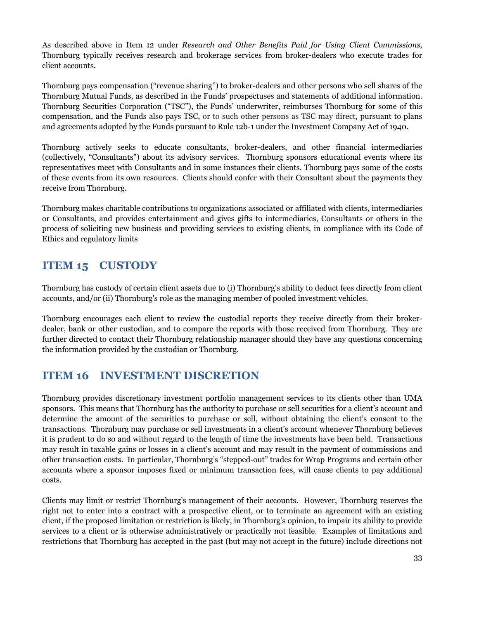As described above in Item 12 under *Research and Other Benefits Paid for Using Client Commissions*, Thornburg typically receives research and brokerage services from broker-dealers who execute trades for client accounts.

Thornburg pays compensation ("revenue sharing") to broker-dealers and other persons who sell shares of the Thornburg Mutual Funds, as described in the Funds' prospectuses and statements of additional information. Thornburg Securities Corporation ("TSC"), the Funds' underwriter, reimburses Thornburg for some of this compensation, and the Funds also pays TSC, or to such other persons as TSC may direct, pursuant to plans and agreements adopted by the Funds pursuant to Rule 12b-1 under the Investment Company Act of 1940.

Thornburg actively seeks to educate consultants, broker-dealers, and other financial intermediaries (collectively, "Consultants") about its advisory services. Thornburg sponsors educational events where its representatives meet with Consultants and in some instances their clients. Thornburg pays some of the costs of these events from its own resources. Clients should confer with their Consultant about the payments they receive from Thornburg.

Thornburg makes charitable contributions to organizations associated or affiliated with clients, intermediaries or Consultants, and provides entertainment and gives gifts to intermediaries, Consultants or others in the process of soliciting new business and providing services to existing clients, in compliance with its Code of Ethics and regulatory limits

### **ITEM 15 CUSTODY**

Thornburg has custody of certain client assets due to (i) Thornburg's ability to deduct fees directly from client accounts, and/or (ii) Thornburg's role as the managing member of pooled investment vehicles.

Thornburg encourages each client to review the custodial reports they receive directly from their brokerdealer, bank or other custodian, and to compare the reports with those received from Thornburg. They are further directed to contact their Thornburg relationship manager should they have any questions concerning the information provided by the custodian or Thornburg.

### **ITEM 16 INVESTMENT DISCRETION**

Thornburg provides discretionary investment portfolio management services to its clients other than UMA sponsors. This means that Thornburg has the authority to purchase or sell securities for a client's account and determine the amount of the securities to purchase or sell, without obtaining the client's consent to the transactions. Thornburg may purchase or sell investments in a client's account whenever Thornburg believes it is prudent to do so and without regard to the length of time the investments have been held. Transactions may result in taxable gains or losses in a client's account and may result in the payment of commissions and other transaction costs. In particular, Thornburg's "stepped-out" trades for Wrap Programs and certain other accounts where a sponsor imposes fixed or minimum transaction fees, will cause clients to pay additional costs.

Clients may limit or restrict Thornburg's management of their accounts. However, Thornburg reserves the right not to enter into a contract with a prospective client, or to terminate an agreement with an existing client, if the proposed limitation or restriction is likely, in Thornburg's opinion, to impair its ability to provide services to a client or is otherwise administratively or practically not feasible. Examples of limitations and restrictions that Thornburg has accepted in the past (but may not accept in the future) include directions not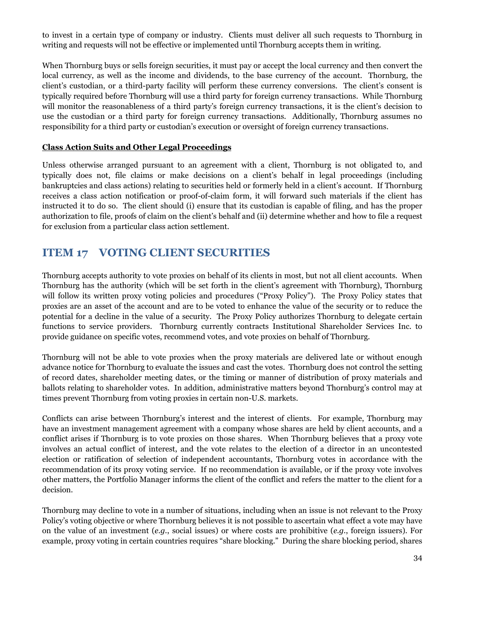to invest in a certain type of company or industry. Clients must deliver all such requests to Thornburg in writing and requests will not be effective or implemented until Thornburg accepts them in writing.

When Thornburg buys or sells foreign securities, it must pay or accept the local currency and then convert the local currency, as well as the income and dividends, to the base currency of the account. Thornburg, the client's custodian, or a third-party facility will perform these currency conversions. The client's consent is typically required before Thornburg will use a third party for foreign currency transactions. While Thornburg will monitor the reasonableness of a third party's foreign currency transactions, it is the client's decision to use the custodian or a third party for foreign currency transactions. Additionally, Thornburg assumes no responsibility for a third party or custodian's execution or oversight of foreign currency transactions.

#### **Class Action Suits and Other Legal Proceedings**

Unless otherwise arranged pursuant to an agreement with a client, Thornburg is not obligated to, and typically does not, file claims or make decisions on a client's behalf in legal proceedings (including bankruptcies and class actions) relating to securities held or formerly held in a client's account. If Thornburg receives a class action notification or proof-of-claim form, it will forward such materials if the client has instructed it to do so. The client should (i) ensure that its custodian is capable of filing, and has the proper authorization to file, proofs of claim on the client's behalf and (ii) determine whether and how to file a request for exclusion from a particular class action settlement.

### **ITEM 17 VOTING CLIENT SECURITIES**

Thornburg accepts authority to vote proxies on behalf of its clients in most, but not all client accounts. When Thornburg has the authority (which will be set forth in the client's agreement with Thornburg), Thornburg will follow its written proxy voting policies and procedures ("Proxy Policy"). The Proxy Policy states that proxies are an asset of the account and are to be voted to enhance the value of the security or to reduce the potential for a decline in the value of a security. The Proxy Policy authorizes Thornburg to delegate certain functions to service providers. Thornburg currently contracts Institutional Shareholder Services Inc. to provide guidance on specific votes, recommend votes, and vote proxies on behalf of Thornburg.

Thornburg will not be able to vote proxies when the proxy materials are delivered late or without enough advance notice for Thornburg to evaluate the issues and cast the votes. Thornburg does not control the setting of record dates, shareholder meeting dates, or the timing or manner of distribution of proxy materials and ballots relating to shareholder votes. In addition, administrative matters beyond Thornburg's control may at times prevent Thornburg from voting proxies in certain non-U.S. markets.

Conflicts can arise between Thornburg's interest and the interest of clients. For example, Thornburg may have an investment management agreement with a company whose shares are held by client accounts, and a conflict arises if Thornburg is to vote proxies on those shares. When Thornburg believes that a proxy vote involves an actual conflict of interest, and the vote relates to the election of a director in an uncontested election or ratification of selection of independent accountants, Thornburg votes in accordance with the recommendation of its proxy voting service. If no recommendation is available, or if the proxy vote involves other matters, the Portfolio Manager informs the client of the conflict and refers the matter to the client for a decision.

Thornburg may decline to vote in a number of situations, including when an issue is not relevant to the Proxy Policy's voting objective or where Thornburg believes it is not possible to ascertain what effect a vote may have on the value of an investment (*e.g.*, social issues) or where costs are prohibitive (*e.g.*, foreign issuers). For example, proxy voting in certain countries requires "share blocking." During the share blocking period, shares